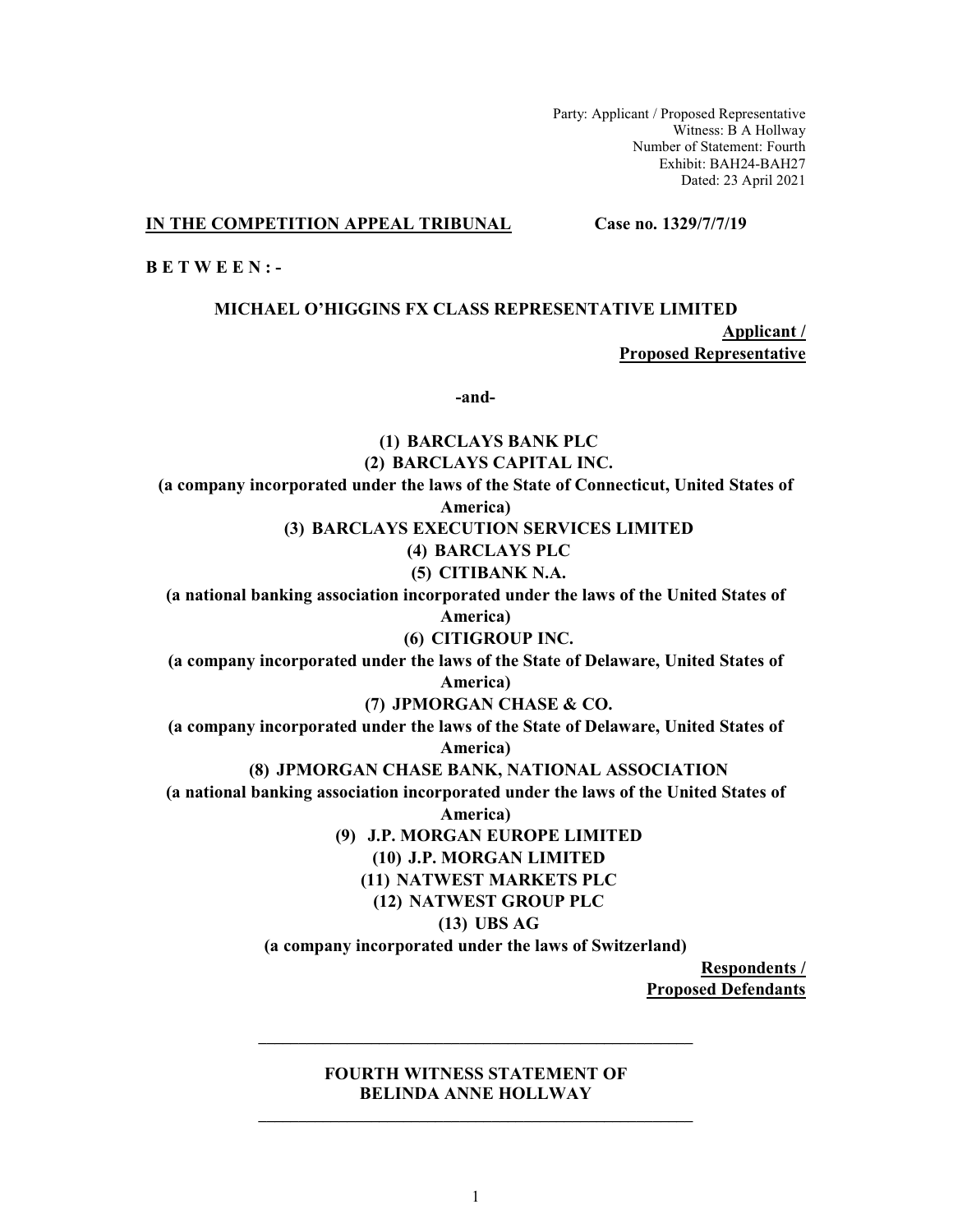Party: Applicant / Proposed Representative Witness: B A Hollway Number of Statement: Fourth Exhibit: BAH24-BAH27 Dated: 23 April 2021

## IN THE COMPETITION APPEAL TRIBUNAL

Case no. 1329/7/7/19

 $B E T W E E N$ :

# MICHAEL O'HIGGINS FX CLASS REPRESENTATIVE LIMITED

Applicant / **Proposed Representative** 

-and-

# (1) BARCLAYS BANK PLC (2) BARCLAYS CAPITAL INC. (a company incorporated under the laws of the State of Connecticut, United States of America) (3) BARCLAYS EXECUTION SERVICES LIMITED (4) BARCLAYS PLC (5) CITIBANK N.A. (a national banking association incorporated under the laws of the United States of America) (6) CITIGROUP INC. (a company incorporated under the laws of the State of Delaware, United States of America) (7) JPMORGAN CHASE & CO. (a company incorporated under the laws of the State of Delaware, United States of America) (8) JPMORGAN CHASE BANK, NATIONAL ASSOCIATION (a national banking association incorporated under the laws of the United States of America) (9) J.P. MORGAN EUROPE LIMITED (10) J.P. MORGAN LIMITED (11) NATWEST MARKETS PLC (12) NATWEST GROUP PLC  $(13)$  UBS AG (a company incorporated under the laws of Switzerland) **Respondents /**

**Proposed Defendants** 

# **FOURTH WITNESS STATEMENT OF BELINDA ANNE HOLLWAY**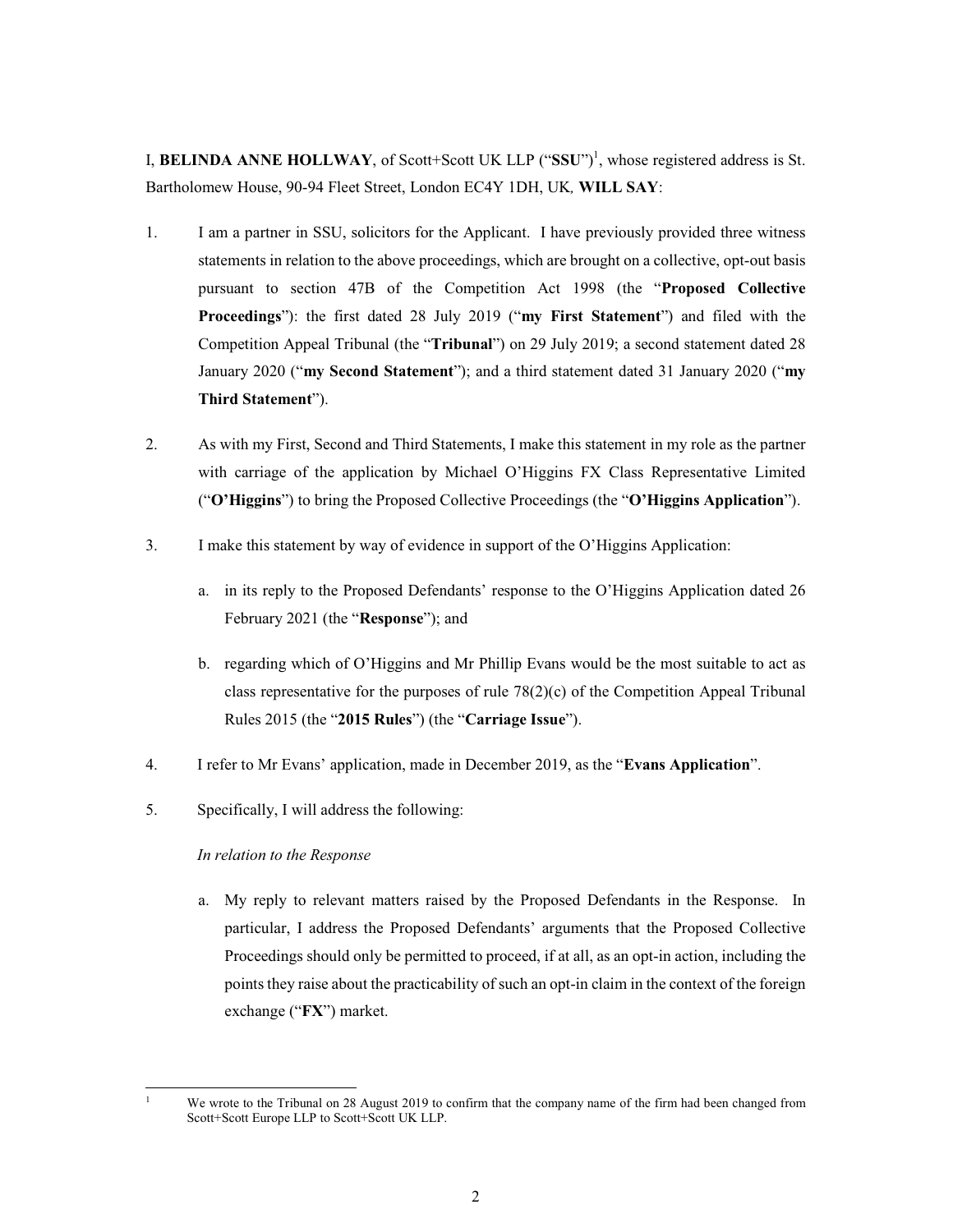I, BELINDA ANNE HOLLWAY, of Scott+Scott UK LLP  $("SSU")<sup>1</sup>$ , whose registered address is St. Bartholomew House, 90-94 Fleet Street, London EC4Y 1DH, UK, WILL SAY:

- $1.$ I am a partner in SSU, solicitors for the Applicant. I have previously provided three witness statements in relation to the above proceedings, which are brought on a collective, opt-out basis pursuant to section 47B of the Competition Act 1998 (the "Proposed Collective Proceedings"): the first dated 28 July 2019 ("my First Statement") and filed with the Competition Appeal Tribunal (the "**Tribunal**") on 29 July 2019; a second statement dated 28 January 2020 ("my Second Statement"); and a third statement dated 31 January 2020 ("my Third Statement").
- 2. As with my First, Second and Third Statements, I make this statement in my role as the partner with carriage of the application by Michael O'Higgins FX Class Representative Limited ("O'Higgins") to bring the Proposed Collective Proceedings (the "O'Higgins Application").
- I make this statement by way of evidence in support of the O'Higgins Application:  $3.$ 
	- a. in its reply to the Proposed Defendants' response to the O'Higgins Application dated 26 February 2021 (the "Response"); and
	- b. regarding which of O'Higgins and Mr Phillip Evans would be the most suitable to act as class representative for the purposes of rule  $78(2)(c)$  of the Competition Appeal Tribunal Rules 2015 (the "2015 Rules") (the "Carriage Issue").
- $4.$ I refer to Mr Evans' application, made in December 2019, as the "Evans Application".
- 5. Specifically, I will address the following:

# In relation to the Response

 $\mathbf{1}$ 

a. My reply to relevant matters raised by the Proposed Defendants in the Response. In particular, I address the Proposed Defendants' arguments that the Proposed Collective Proceedings should only be permitted to proceed, if at all, as an opt-in action, including the points they raise about the practicability of such an opt-in claim in the context of the foreign exchange ("FX") market.

We wrote to the Tribunal on 28 August 2019 to confirm that the company name of the firm had been changed from Scott+Scott Europe LLP to Scott+Scott UK LLP.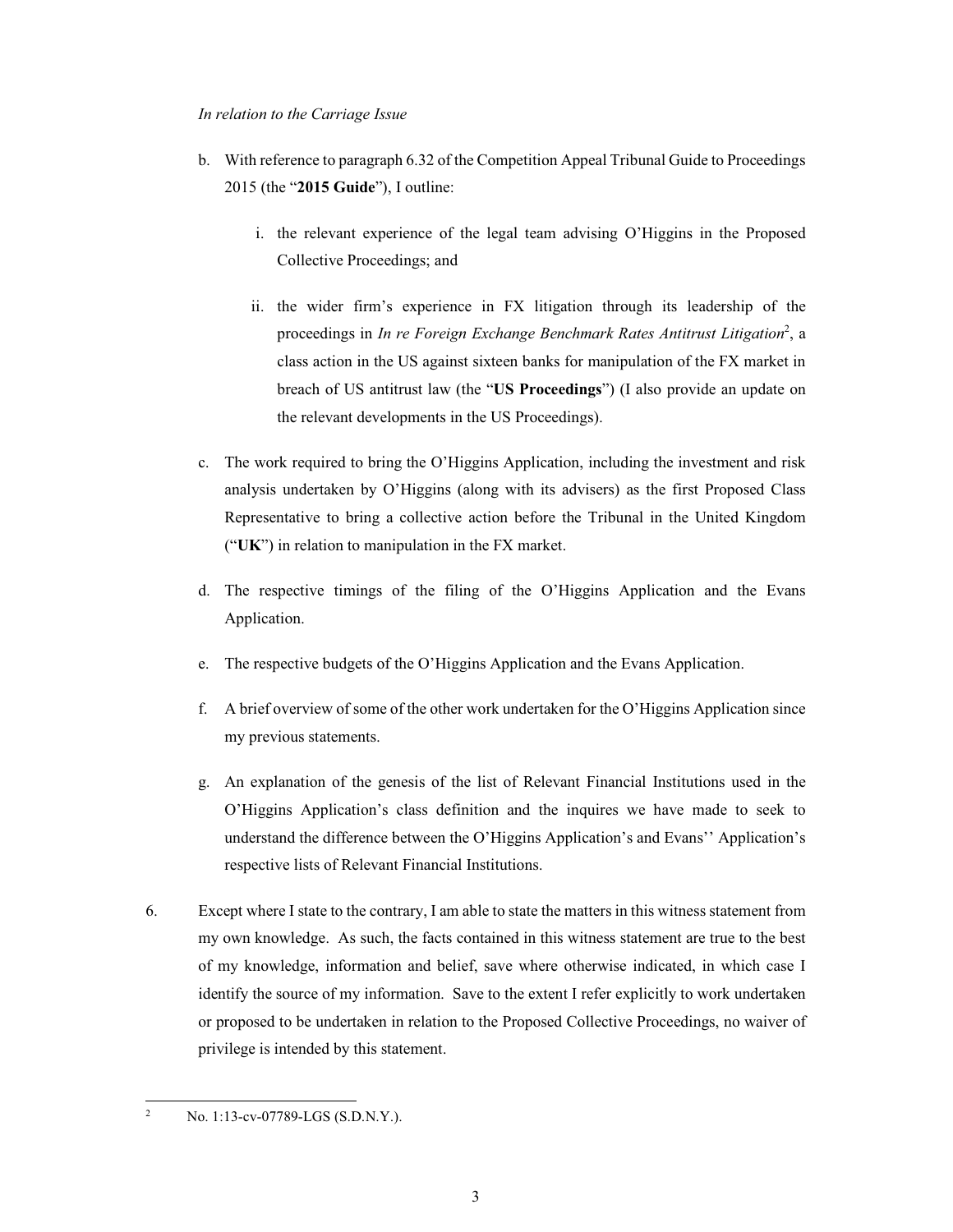# In relation to the Carriage Issue

- b. With reference to paragraph 6.32 of the Competition Appeal Tribunal Guide to Proceedings 2015 (the "2015 Guide"), I outline:
	- i. the relevant experience of the legal team advising O'Higgins in the Proposed Collective Proceedings; and
	- ii. the wider firm's experience in FX litigation through its leadership of the proceedings in In re Foreign Exchange Benchmark Rates Antitrust Litigation<sup>2</sup>, a class action in the US against sixteen banks for manipulation of the FX market in breach of US antitrust law (the "US Proceedings") (I also provide an update on the relevant developments in the US Proceedings).
- c. The work required to bring the O'Higgins Application, including the investment and risk analysis undertaken by O'Higgins (along with its advisers) as the first Proposed Class Representative to bring a collective action before the Tribunal in the United Kingdom (" $UK$ ") in relation to manipulation in the FX market.
- d. The respective timings of the filing of the O'Higgins Application and the Evans Application.
- e. The respective budgets of the O'Higgins Application and the Evans Application.
- f. A brief overview of some of the other work undertaken for the O'Higgins Application since my previous statements.
- g. An explanation of the genesis of the list of Relevant Financial Institutions used in the O'Higgins Application's class definition and the inquires we have made to seek to understand the difference between the O'Higgins Application's and Evans'' Application's respective lists of Relevant Financial Institutions.
- 6. Except where I state to the contrary, I am able to state the matters in this witness statement from my own knowledge. As such, the facts contained in this witness statement are true to the best of my knowledge, information and belief, save where otherwise indicated, in which case I identify the source of my information. Save to the extent I refer explicitly to work undertaken or proposed to be undertaken in relation to the Proposed Collective Proceedings, no waiver of privilege is intended by this statement.

 $\overline{c}$ No. 1:13-cv-07789-LGS (S.D.N.Y.).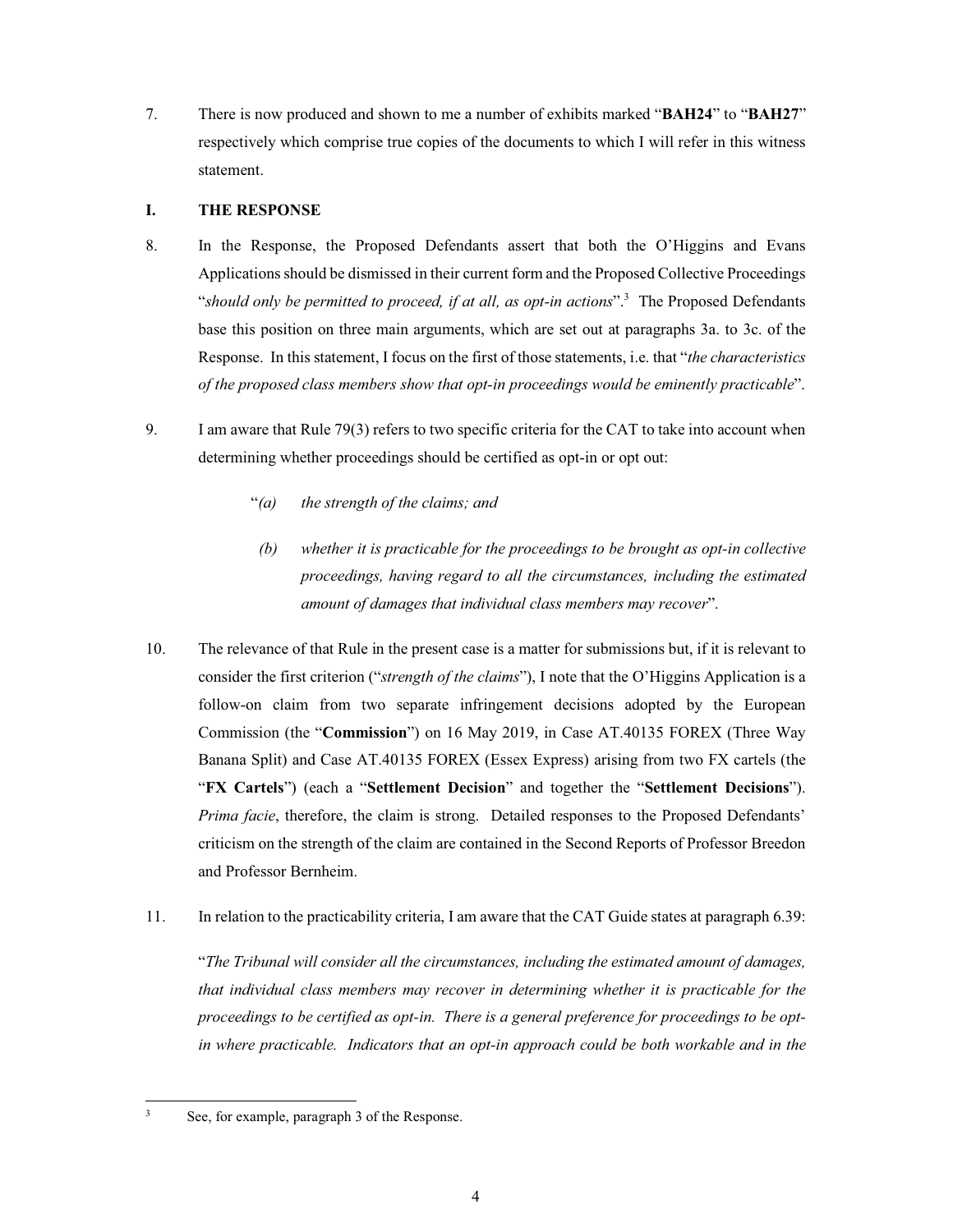7. There is now produced and shown to me a number of exhibits marked "BAH24" to "BAH27" respectively which comprise true copies of the documents to which I will refer in this witness statement.

#### L **THE RESPONSE**

- 8. In the Response, the Proposed Defendants assert that both the O'Higgins and Evans Applications should be dismissed in their current form and the Proposed Collective Proceedings "should only be permitted to proceed, if at all, as opt-in actions".<sup>3</sup> The Proposed Defendants base this position on three main arguments, which are set out at paragraphs 3a. to 3c. of the Response. In this statement, I focus on the first of those statements, i.e. that "the characteristics" of the proposed class members show that opt-in proceedings would be eminently practicable".
- 9. I am aware that Rule 79(3) refers to two specific criteria for the CAT to take into account when determining whether proceedings should be certified as opt-in or opt out:
	- "(a) the strength of the claims; and
	- $(b)$ whether it is practicable for the proceedings to be brought as opt-in collective proceedings, having regard to all the circumstances, including the estimated amount of damages that individual class members may recover".
- 10. The relevance of that Rule in the present case is a matter for submissions but, if it is relevant to consider the first criterion ("*strength of the claims*"), I note that the O'Higgins Application is a follow-on claim from two separate infringement decisions adopted by the European Commission (the "Commission") on 16 May 2019, in Case AT.40135 FOREX (Three Way Banana Split) and Case AT.40135 FOREX (Essex Express) arising from two FX cartels (the "FX Cartels") (each a "Settlement Decision" and together the "Settlement Decisions"). *Prima facie*, therefore, the claim is strong. Detailed responses to the Proposed Defendants' criticism on the strength of the claim are contained in the Second Reports of Professor Breedon and Professor Bernheim.
- $11.$ In relation to the practicability criteria, I am aware that the CAT Guide states at paragraph 6.39:

"The Tribunal will consider all the circumstances, including the estimated amount of damages, that individual class members may recover in determining whether it is practicable for the proceedings to be certified as opt-in. There is a general preference for proceedings to be optin where practicable. Indicators that an opt-in approach could be both workable and in the

 $\overline{\mathbf{3}}$ 

See, for example, paragraph 3 of the Response.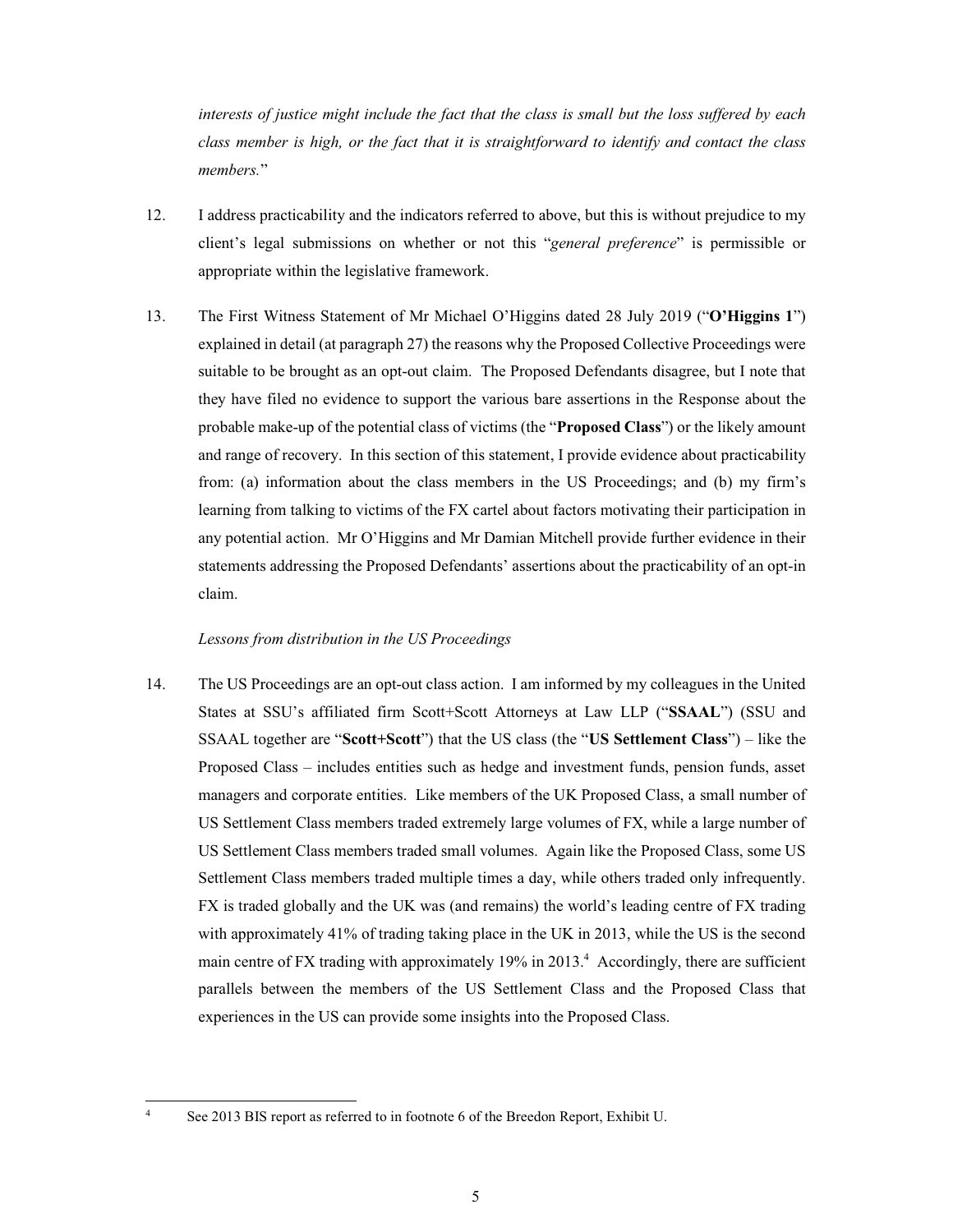interests of justice might include the fact that the class is small but the loss suffered by each class member is high, or the fact that it is straightforward to identify and contact the class members."

- 12. I address practicability and the indicators referred to above, but this is without prejudice to my client's legal submissions on whether or not this "general preference" is permissible or appropriate within the legislative framework.
- 13. The First Witness Statement of Mr Michael O'Higgins dated 28 July 2019 ("O'Higgins 1") explained in detail (at paragraph 27) the reasons why the Proposed Collective Proceedings were suitable to be brought as an opt-out claim. The Proposed Defendants disagree, but I note that they have filed no evidence to support the various bare assertions in the Response about the probable make-up of the potential class of victims (the "Proposed Class") or the likely amount and range of recovery. In this section of this statement, I provide evidence about practicability from: (a) information about the class members in the US Proceedings; and (b) my firm's learning from talking to victims of the FX cartel about factors motivating their participation in any potential action. Mr O'Higgins and Mr Damian Mitchell provide further evidence in their statements addressing the Proposed Defendants' assertions about the practicability of an opt-in claim.

### Lessons from distribution in the US Proceedings

14. The US Proceedings are an opt-out class action. I am informed by my colleagues in the United States at SSU's affiliated firm Scott+Scott Attorneys at Law LLP ("SSAAL") (SSU and SSAAL together are "Scott+Scott") that the US class (the "US Settlement Class") – like the Proposed Class – includes entities such as hedge and investment funds, pension funds, asset managers and corporate entities. Like members of the UK Proposed Class, a small number of US Settlement Class members traded extremely large volumes of FX, while a large number of US Settlement Class members traded small volumes. Again like the Proposed Class, some US Settlement Class members traded multiple times a day, while others traded only infrequently. FX is traded globally and the UK was (and remains) the world's leading centre of FX trading with approximately 41% of trading taking place in the UK in 2013, while the US is the second main centre of FX trading with approximately 19% in 2013.<sup>4</sup> Accordingly, there are sufficient parallels between the members of the US Settlement Class and the Proposed Class that experiences in the US can provide some insights into the Proposed Class.

See 2013 BIS report as referred to in footnote 6 of the Breedon Report, Exhibit U.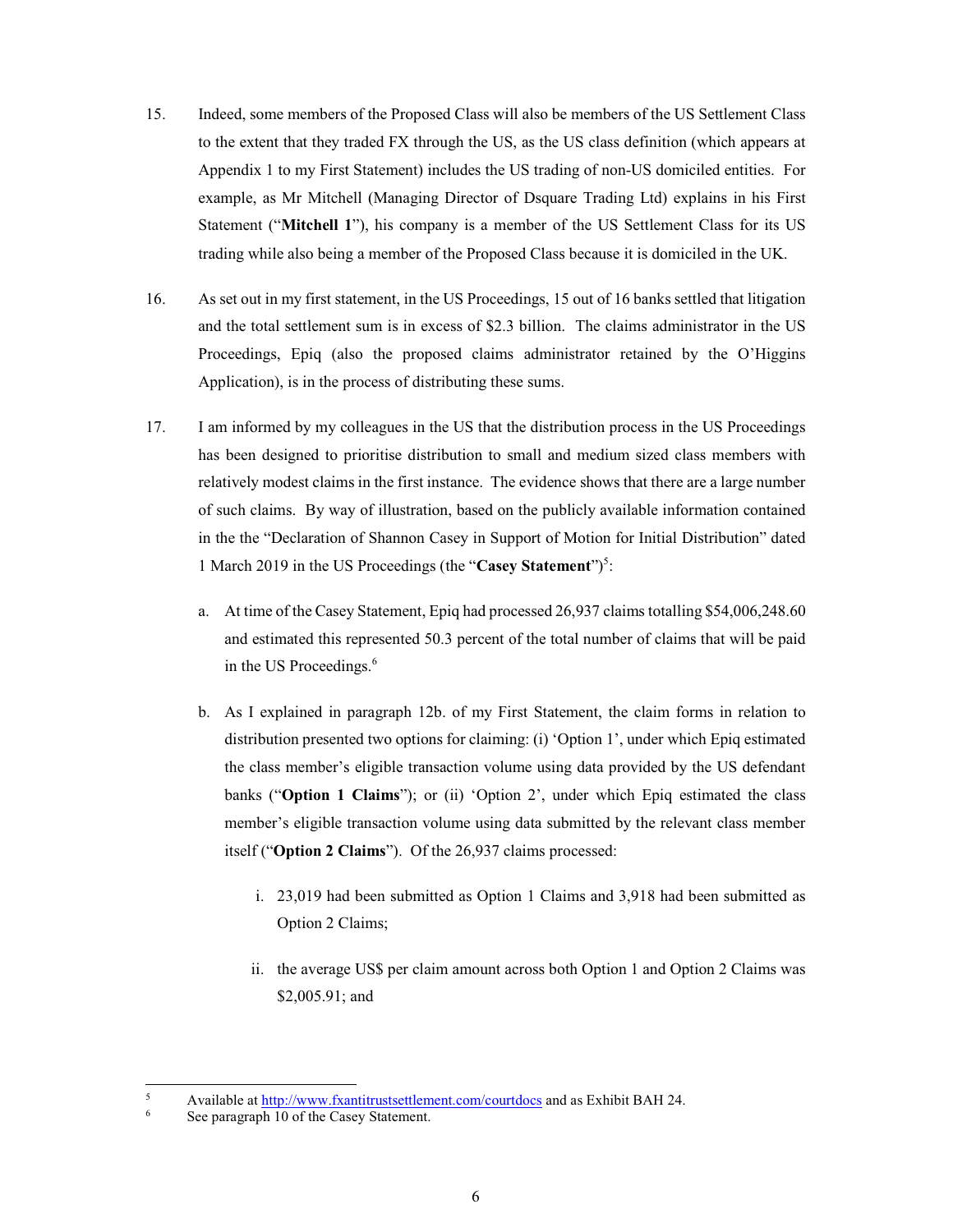- 15. Indeed, some members of the Proposed Class will also be members of the US Settlement Class to the extent that they traded FX through the US, as the US class definition (which appears at Appendix 1 to my First Statement) includes the US trading of non-US domiciled entities. For example, as Mr Mitchell (Managing Director of Dsquare Trading Ltd) explains in his First Statement ("Mitchell 1"), his company is a member of the US Settlement Class for its US trading while also being a member of the Proposed Class because it is domiciled in the UK.
- 16. As set out in my first statement, in the US Proceedings, 15 out of 16 banks settled that litigation and the total settlement sum is in excess of \$2.3 billion. The claims administrator in the US Proceedings, Epiq (also the proposed claims administrator retained by the O'Higgins Application), is in the process of distributing these sums.
- 17. I am informed by my colleagues in the US that the distribution process in the US Proceedings has been designed to prioritise distribution to small and medium sized class members with relatively modest claims in the first instance. The evidence shows that there are a large number of such claims. By way of illustration, based on the publicly available information contained in the the "Declaration of Shannon Casey in Support of Motion for Initial Distribution" dated 1 March 2019 in the US Proceedings (the "Casey Statement")<sup>5</sup>:
	- a. At time of the Casey Statement, Epiq had processed 26,937 claims totalling \$54,006,248.60 and estimated this represented 50.3 percent of the total number of claims that will be paid in the US Proceedings.<sup>6</sup>
	- b. As I explained in paragraph 12b. of my First Statement, the claim forms in relation to distribution presented two options for claiming: (i) 'Option 1', under which Epiq estimated the class member's eligible transaction volume using data provided by the US defendant banks ("Option 1 Claims"); or (ii) 'Option 2', under which Epiq estimated the class member's eligible transaction volume using data submitted by the relevant class member itself ("Option 2 Claims"). Of the 26,937 claims processed:
		- i. 23,019 had been submitted as Option 1 Claims and 3,918 had been submitted as Option 2 Claims;
		- ii. the average US\$ per claim amount across both Option 1 and Option 2 Claims was \$2,005.91; and

 $\overline{5}$ Available at http://www.fxantitrustsettlement.com/courtdocs and as Exhibit BAH 24.

See paragraph 10 of the Casey Statement.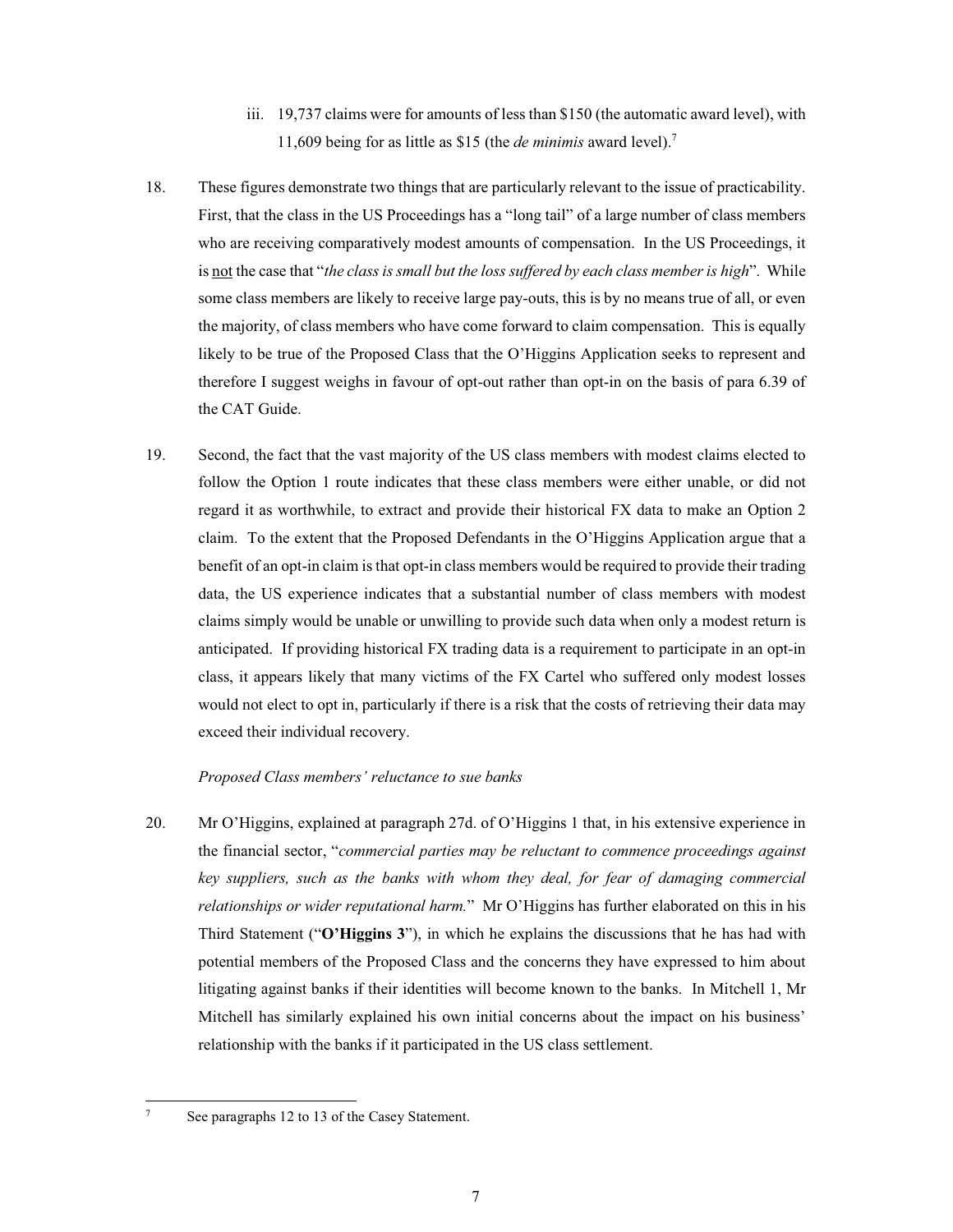- iii. 19,737 claims were for amounts of less than \$150 (the automatic award level), with 11,609 being for as little as \$15 (the *de minimis* award level).<sup>7</sup>
- 18. These figures demonstrate two things that are particularly relevant to the issue of practicability. First, that the class in the US Proceedings has a "long tail" of a large number of class members who are receiving comparatively modest amounts of compensation. In the US Proceedings, it is not the case that "the class is small but the loss suffered by each class member is high". While some class members are likely to receive large pay-outs, this is by no means true of all, or even the majority, of class members who have come forward to claim compensation. This is equally likely to be true of the Proposed Class that the O'Higgins Application seeks to represent and therefore I suggest weighs in favour of opt-out rather than opt-in on the basis of para 6.39 of the CAT Guide.
- 19. Second, the fact that the vast majority of the US class members with modest claims elected to follow the Option 1 route indicates that these class members were either unable, or did not regard it as worthwhile, to extract and provide their historical FX data to make an Option 2 claim. To the extent that the Proposed Defendants in the O'Higgins Application argue that a benefit of an opt-in claim is that opt-in class members would be required to provide their trading data, the US experience indicates that a substantial number of class members with modest claims simply would be unable or unwilling to provide such data when only a modest return is anticipated. If providing historical FX trading data is a requirement to participate in an opt-in class, it appears likely that many victims of the FX Cartel who suffered only modest losses would not elect to opt in, particularly if there is a risk that the costs of retrieving their data may exceed their individual recovery.

# Proposed Class members' reluctance to sue banks

20. Mr O'Higgins, explained at paragraph 27d. of O'Higgins 1 that, in his extensive experience in the financial sector, "commercial parties may be reluctant to commence proceedings against key suppliers, such as the banks with whom they deal, for fear of damaging commercial relationships or wider reputational harm." Mr O'Higgins has further elaborated on this in his Third Statement ("O'Higgins 3"), in which he explains the discussions that he has had with potential members of the Proposed Class and the concerns they have expressed to him about litigating against banks if their identities will become known to the banks. In Mitchell 1, Mr Mitchell has similarly explained his own initial concerns about the impact on his business' relationship with the banks if it participated in the US class settlement.

See paragraphs 12 to 13 of the Casey Statement.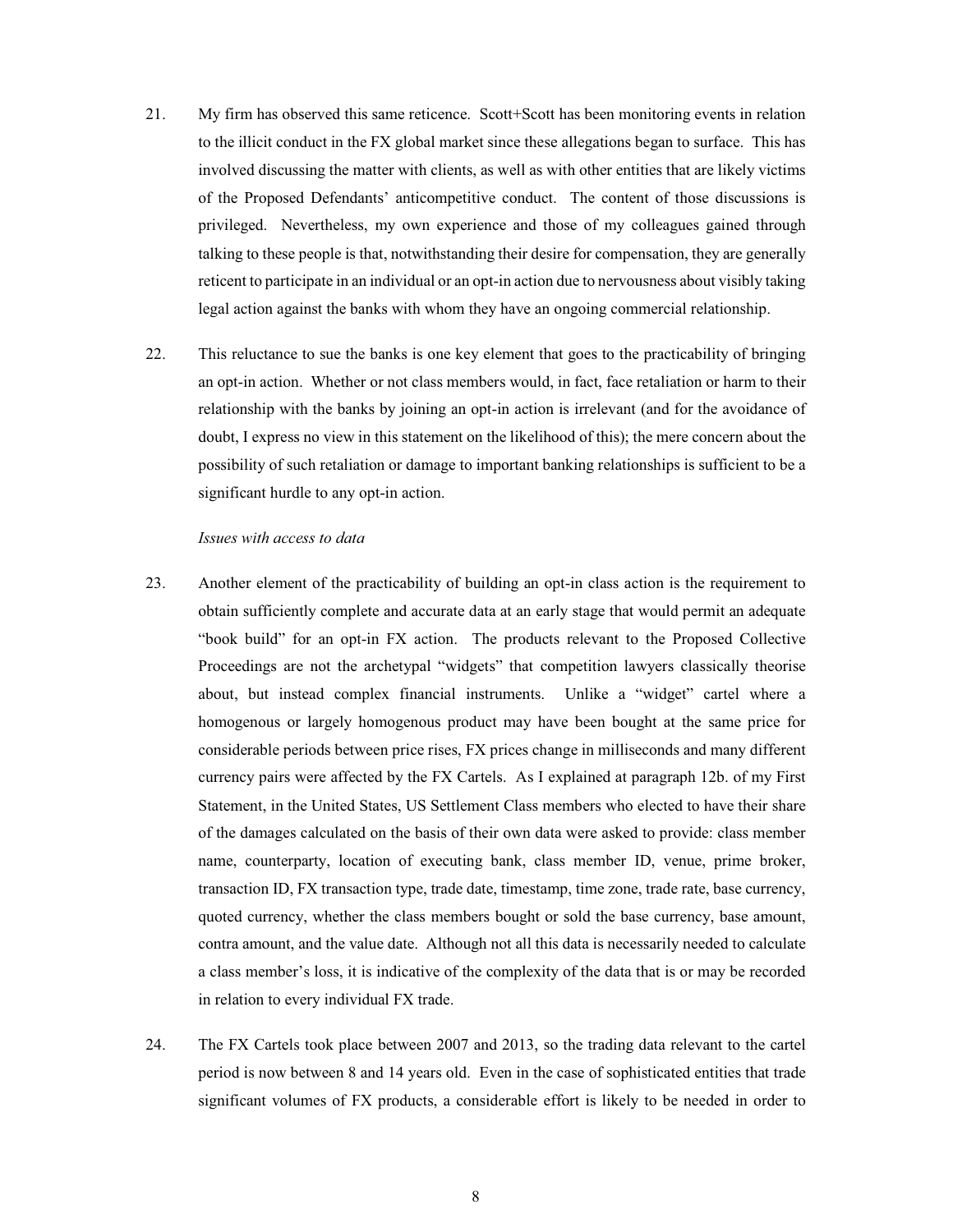- 21. My firm has observed this same reticence. Scott+Scott has been monitoring events in relation to the illicit conduct in the FX global market since these allegations began to surface. This has involved discussing the matter with clients, as well as with other entities that are likely victims of the Proposed Defendants' anticompetitive conduct. The content of those discussions is privileged. Nevertheless, my own experience and those of my colleagues gained through talking to these people is that, notwithstanding their desire for compensation, they are generally reticent to participate in an individual or an opt-in action due to nervousness about visibly taking legal action against the banks with whom they have an ongoing commercial relationship.
- 22. This reluctance to sue the banks is one key element that goes to the practicability of bringing an opt-in action. Whether or not class members would, in fact, face retaliation or harm to their relationship with the banks by joining an opt-in action is irrelevant (and for the avoidance of doubt, I express no view in this statement on the likelihood of this); the mere concern about the possibility of such retaliation or damage to important banking relationships is sufficient to be a significant hurdle to any opt-in action.

### Issues with access to data

- 23. Another element of the practicability of building an opt-in class action is the requirement to obtain sufficiently complete and accurate data at an early stage that would permit an adequate "book build" for an opt-in FX action. The products relevant to the Proposed Collective Proceedings are not the archetypal "widgets" that competition lawyers classically theorise about, but instead complex financial instruments. Unlike a "widget" cartel where a homogenous or largely homogenous product may have been bought at the same price for considerable periods between price rises, FX prices change in milliseconds and many different currency pairs were affected by the FX Cartels. As I explained at paragraph 12b. of my First Statement, in the United States, US Settlement Class members who elected to have their share of the damages calculated on the basis of their own data were asked to provide: class member name, counterparty, location of executing bank, class member ID, venue, prime broker, transaction ID, FX transaction type, trade date, timestamp, time zone, trade rate, base currency, quoted currency, whether the class members bought or sold the base currency, base amount, contra amount, and the value date. Although not all this data is necessarily needed to calculate a class member's loss, it is indicative of the complexity of the data that is or may be recorded in relation to every individual FX trade.
- 24. The FX Cartels took place between 2007 and 2013, so the trading data relevant to the cartel period is now between 8 and 14 years old. Even in the case of sophisticated entities that trade significant volumes of FX products, a considerable effort is likely to be needed in order to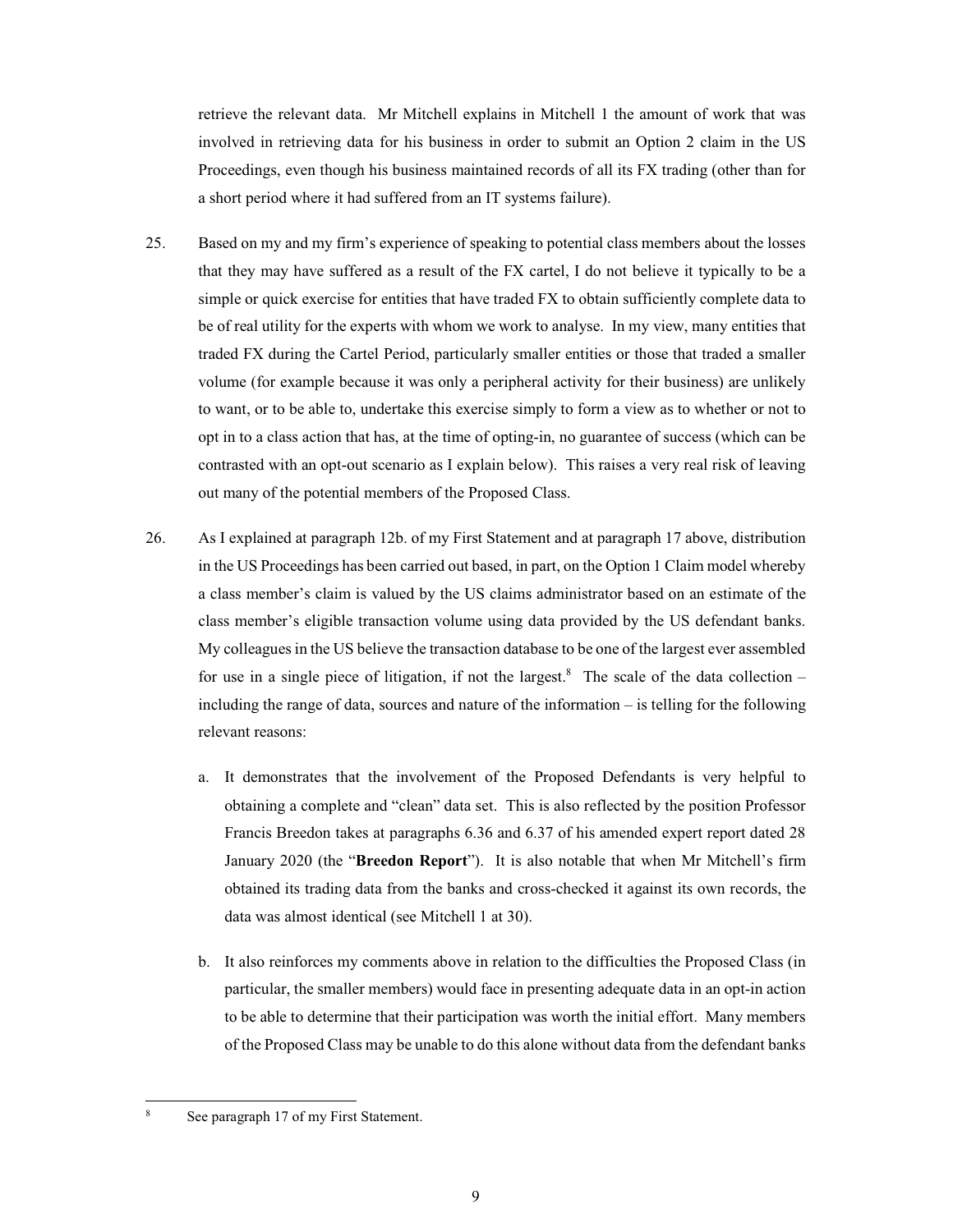retrieve the relevant data. Mr Mitchell explains in Mitchell 1 the amount of work that was involved in retrieving data for his business in order to submit an Option 2 claim in the US Proceedings, even though his business maintained records of all its FX trading (other than for a short period where it had suffered from an IT systems failure).

- $25.$ Based on my and my firm's experience of speaking to potential class members about the losses that they may have suffered as a result of the FX cartel, I do not believe it typically to be a simple or quick exercise for entities that have traded FX to obtain sufficiently complete data to be of real utility for the experts with whom we work to analyse. In my view, many entities that traded FX during the Cartel Period, particularly smaller entities or those that traded a smaller volume (for example because it was only a peripheral activity for their business) are unlikely to want, or to be able to, undertake this exercise simply to form a view as to whether or not to opt in to a class action that has, at the time of opting-in, no guarantee of success (which can be contrasted with an opt-out scenario as I explain below). This raises a very real risk of leaving out many of the potential members of the Proposed Class.
- 26. As I explained at paragraph 12b. of my First Statement and at paragraph 17 above, distribution in the US Proceedings has been carried out based, in part, on the Option 1 Claim model whereby a class member's claim is valued by the US claims administrator based on an estimate of the class member's eligible transaction volume using data provided by the US defendant banks. My colleagues in the US believe the transaction database to be one of the largest ever assembled for use in a single piece of litigation, if not the largest.<sup>8</sup> The scale of the data collection – including the range of data, sources and nature of the information  $-$  is telling for the following relevant reasons:
	- a. It demonstrates that the involvement of the Proposed Defendants is very helpful to obtaining a complete and "clean" data set. This is also reflected by the position Professor Francis Breedon takes at paragraphs 6.36 and 6.37 of his amended expert report dated 28 January 2020 (the "Breedon Report"). It is also notable that when Mr Mitchell's firm obtained its trading data from the banks and cross-checked it against its own records, the data was almost identical (see Mitchell 1 at 30).
	- b. It also reinforces my comments above in relation to the difficulties the Proposed Class (in particular, the smaller members) would face in presenting adequate data in an opt-in action to be able to determine that their participation was worth the initial effort. Many members of the Proposed Class may be unable to do this alone without data from the defendant banks

See paragraph 17 of my First Statement.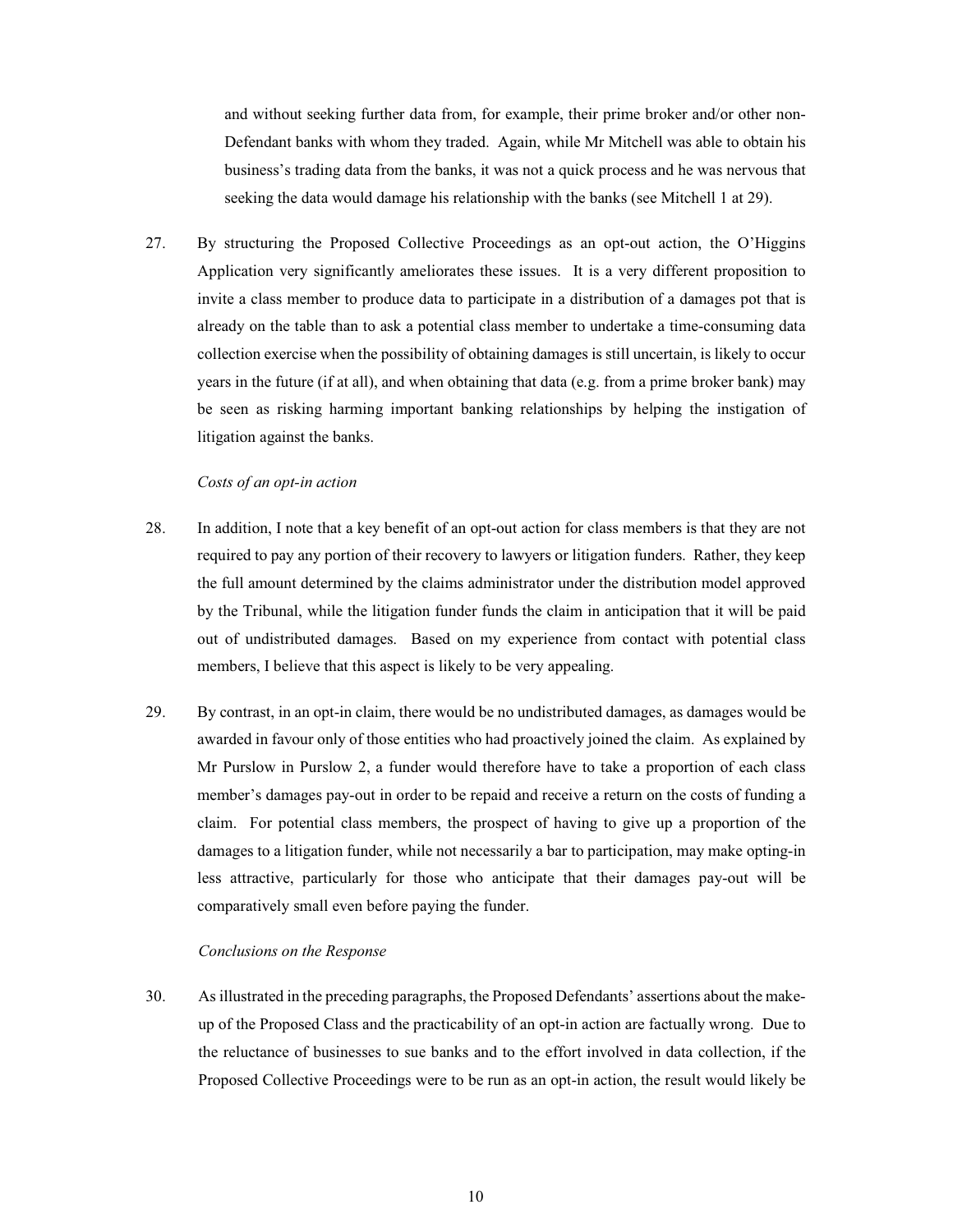and without seeking further data from, for example, their prime broker and/or other non-Defendant banks with whom they traded. Again, while Mr Mitchell was able to obtain his business's trading data from the banks, it was not a quick process and he was nervous that seeking the data would damage his relationship with the banks (see Mitchell 1 at 29).

27. By structuring the Proposed Collective Proceedings as an opt-out action, the O'Higgins Application very significantly ameliorates these issues. It is a very different proposition to invite a class member to produce data to participate in a distribution of a damages pot that is already on the table than to ask a potential class member to undertake a time-consuming data collection exercise when the possibility of obtaining damages is still uncertain, is likely to occur years in the future (if at all), and when obtaining that data (e.g. from a prime broker bank) may be seen as risking harming important banking relationships by helping the instigation of litigation against the banks.

### Costs of an opt-in action

- 28. In addition, I note that a key benefit of an opt-out action for class members is that they are not required to pay any portion of their recovery to lawyers or litigation funders. Rather, they keep the full amount determined by the claims administrator under the distribution model approved by the Tribunal, while the litigation funder funds the claim in anticipation that it will be paid out of undistributed damages. Based on my experience from contact with potential class members, I believe that this aspect is likely to be very appealing.
- 29. By contrast, in an opt-in claim, there would be no undistributed damages, as damages would be awarded in favour only of those entities who had proactively joined the claim. As explained by Mr Purslow in Purslow 2, a funder would therefore have to take a proportion of each class member's damages pay-out in order to be repaid and receive a return on the costs of funding a claim. For potential class members, the prospect of having to give up a proportion of the damages to a litigation funder, while not necessarily a bar to participation, may make opting-in less attractive, particularly for those who anticipate that their damages pay-out will be comparatively small even before paying the funder.

### Conclusions on the Response

30. As illustrated in the preceding paragraphs, the Proposed Defendants' assertions about the makeup of the Proposed Class and the practicability of an opt-in action are factually wrong. Due to the reluctance of businesses to sue banks and to the effort involved in data collection, if the Proposed Collective Proceedings were to be run as an opt-in action, the result would likely be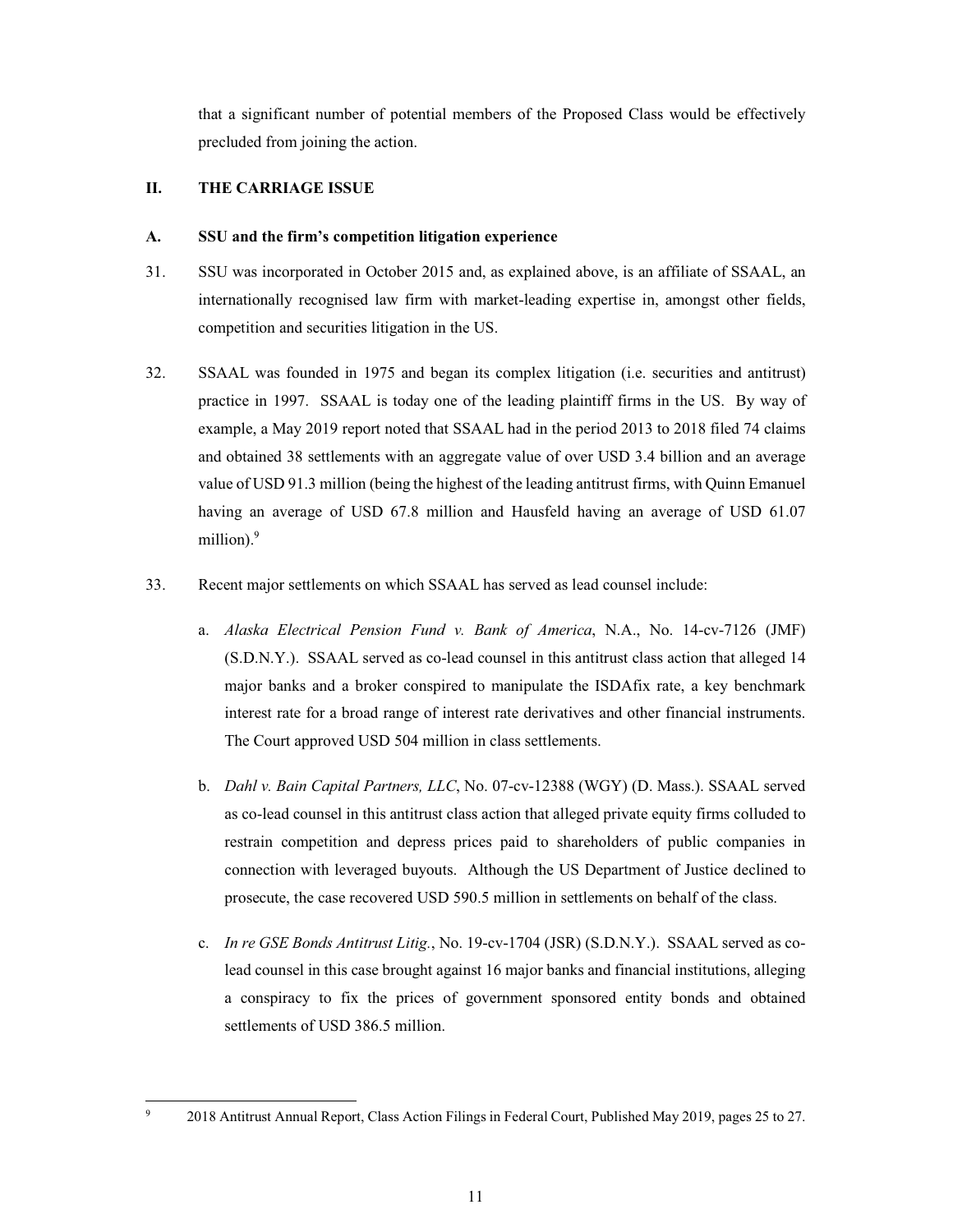that a significant number of potential members of the Proposed Class would be effectively precluded from joining the action.

#### П. THE CARRIAGE ISSUE

#### $\mathbf{A}$ . SSU and the firm's competition litigation experience

- 31. SSU was incorporated in October 2015 and, as explained above, is an affiliate of SSAAL, an internationally recognised law firm with market-leading expertise in, amongst other fields, competition and securities litigation in the US.
- 32. SSAAL was founded in 1975 and began its complex litigation (i.e. securities and antitrust) practice in 1997. SSAAL is today one of the leading plaintiff firms in the US. By way of example, a May 2019 report noted that SSAAL had in the period 2013 to 2018 filed 74 claims and obtained 38 settlements with an aggregate value of over USD 3.4 billion and an average value of USD 91.3 million (being the highest of the leading antitrust firms, with Quinn Emanuel having an average of USD 67.8 million and Hausfeld having an average of USD 61.07 million).<sup>9</sup>
- 33. Recent major settlements on which SSAAL has served as lead counsel include:
	- a. Alaska Electrical Pension Fund v. Bank of America, N.A., No. 14-cv-7126 (JMF) (S.D.N.Y.). SSAAL served as co-lead counsel in this antitrust class action that alleged 14 major banks and a broker conspired to manipulate the ISDAfix rate, a key benchmark interest rate for a broad range of interest rate derivatives and other financial instruments. The Court approved USD 504 million in class settlements.
	- b. Dahl v. Bain Capital Partners, LLC, No. 07-cv-12388 (WGY) (D. Mass.). SSAAL served as co-lead counsel in this antitrust class action that alleged private equity firms colluded to restrain competition and depress prices paid to shareholders of public companies in connection with leveraged buyouts. Although the US Department of Justice declined to prosecute, the case recovered USD 590.5 million in settlements on behalf of the class.
	- c. In re GSE Bonds Antitrust Litig., No. 19-cv-1704 (JSR) (S.D.N.Y.). SSAAL served as colead counsel in this case brought against 16 major banks and financial institutions, alleging a conspiracy to fix the prices of government sponsored entity bonds and obtained settlements of USD 386.5 million.

<sup>2018</sup> Antitrust Annual Report, Class Action Filings in Federal Court, Published May 2019, pages 25 to 27.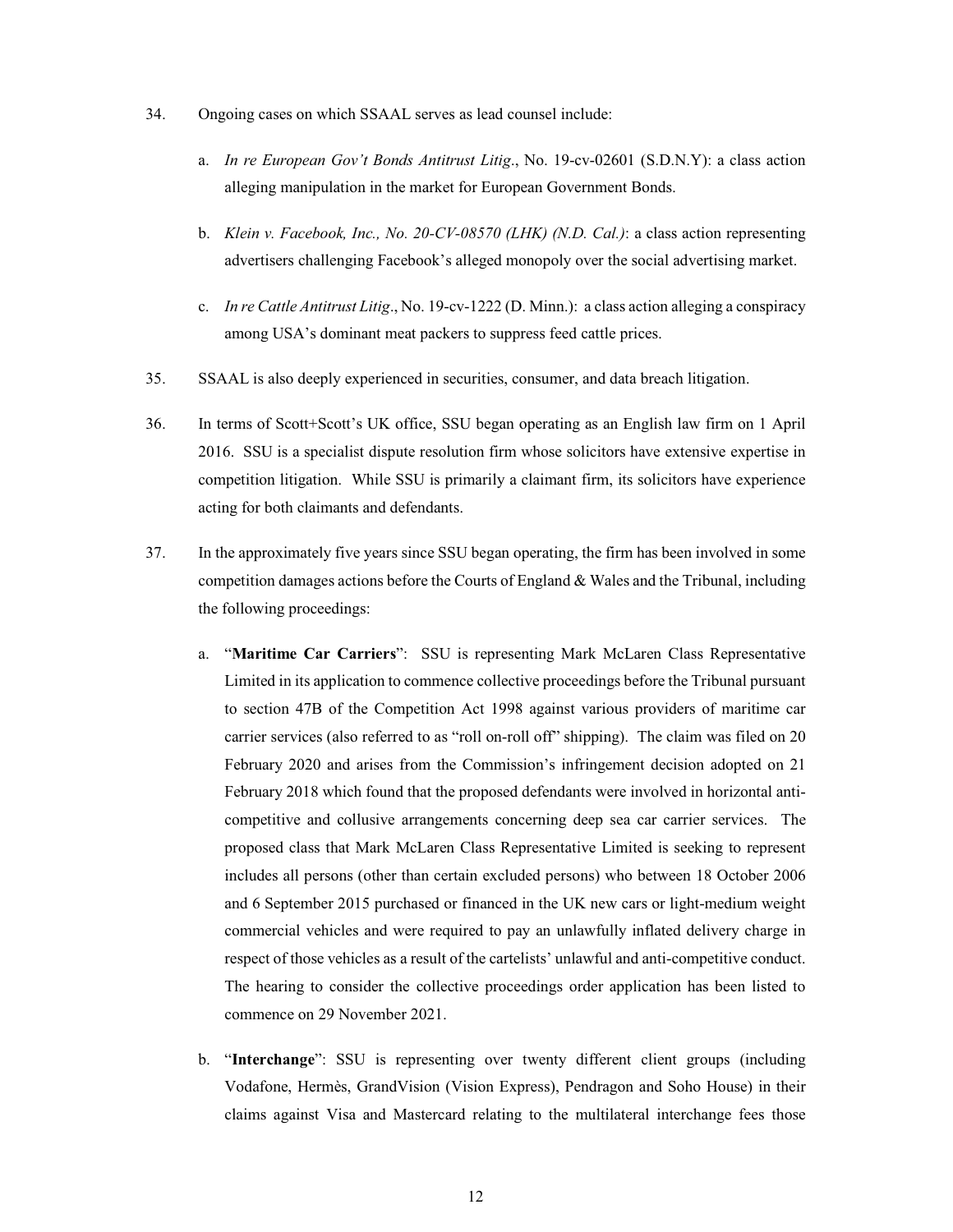- 34. Ongoing cases on which SSAAL serves as lead counsel include:
	- a. In re European Gov't Bonds Antitrust Litig., No. 19-cv-02601 (S.D.N.Y): a class action alleging manipulation in the market for European Government Bonds.
	- b. Klein v. Facebook, Inc., No. 20-CV-08570 (LHK) (N.D. Cal.): a class action representing advertisers challenging Facebook's alleged monopoly over the social advertising market.
	- c. *In re Cattle Antitrust Litig.*, No. 19-cv-1222 (D. Minn.): a class action alleging a conspiracy among USA's dominant meat packers to suppress feed cattle prices.
- 35. SSAAL is also deeply experienced in securities, consumer, and data breach litigation.
- 36. In terms of Scott+Scott's UK office, SSU began operating as an English law firm on 1 April 2016. SSU is a specialist dispute resolution firm whose solicitors have extensive expertise in competition litigation. While SSU is primarily a claimant firm, its solicitors have experience acting for both claimants and defendants.
- 37. In the approximately five years since SSU began operating, the firm has been involved in some competition damages actions before the Courts of England  $&$  Wales and the Tribunal, including the following proceedings:
	- "Maritime Car Carriers": SSU is representing Mark McLaren Class Representative  $a<sub>z</sub>$ Limited in its application to commence collective proceedings before the Tribunal pursuant to section 47B of the Competition Act 1998 against various providers of maritime car carrier services (also referred to as "roll on-roll off" shipping). The claim was filed on 20 February 2020 and arises from the Commission's infringement decision adopted on 21 February 2018 which found that the proposed defendants were involved in horizontal anticompetitive and collusive arrangements concerning deep sea car carrier services. The proposed class that Mark McLaren Class Representative Limited is seeking to represent includes all persons (other than certain excluded persons) who between 18 October 2006 and 6 September 2015 purchased or financed in the UK new cars or light-medium weight commercial vehicles and were required to pay an unlawfully inflated delivery charge in respect of those vehicles as a result of the cartelists' unlawful and anti-competitive conduct. The hearing to consider the collective proceedings order application has been listed to commence on 29 November 2021.
	- b. "Interchange": SSU is representing over twenty different client groups (including Vodafone, Hermès, GrandVision (Vision Express), Pendragon and Soho House) in their claims against Visa and Mastercard relating to the multilateral interchange fees those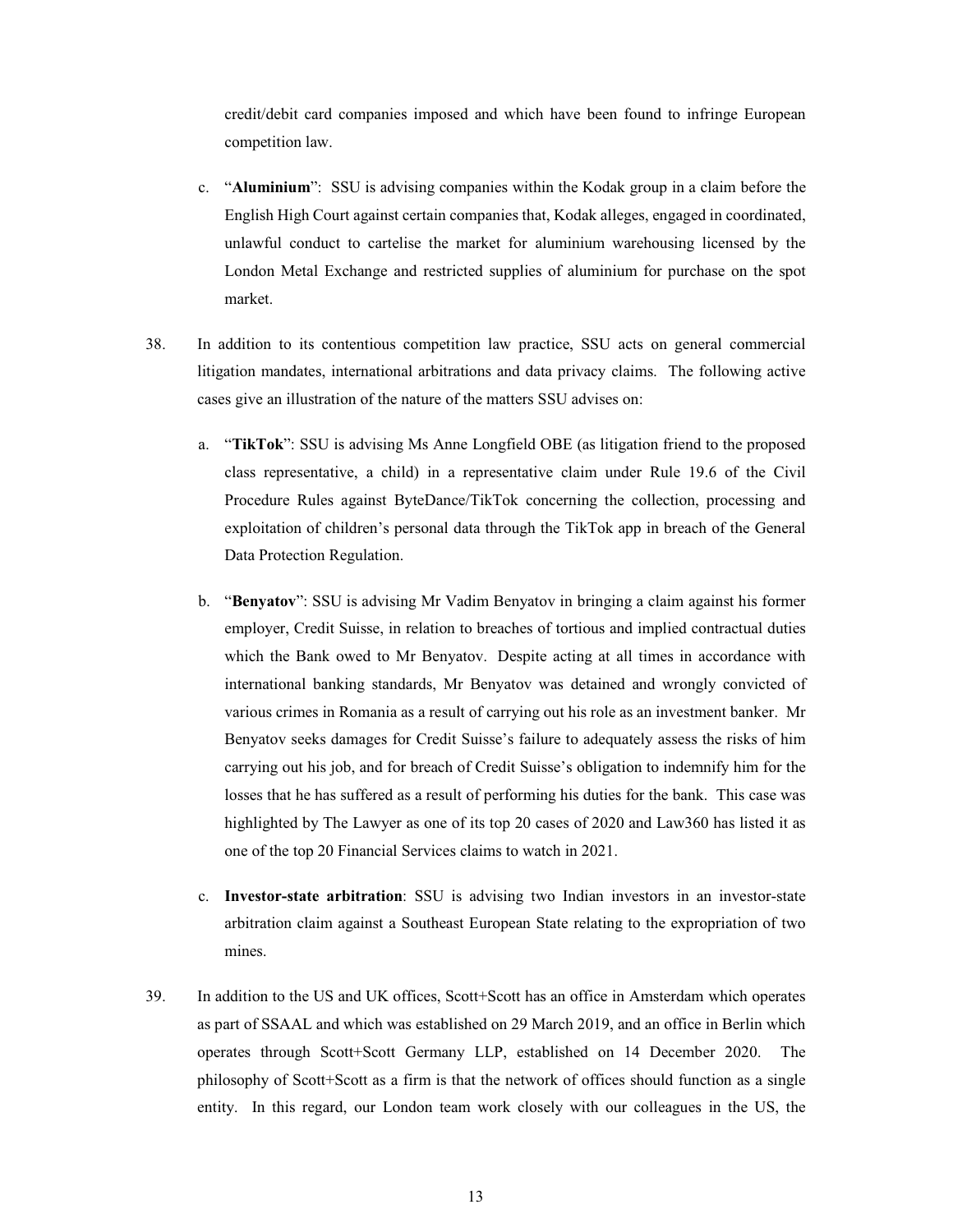credit/debit card companies imposed and which have been found to infringe European competition law.

- c. "Aluminium": SSU is advising companies within the Kodak group in a claim before the English High Court against certain companies that, Kodak alleges, engaged in coordinated, unlawful conduct to cartelise the market for aluminium warehousing licensed by the London Metal Exchange and restricted supplies of aluminium for purchase on the spot market.
- 38. In addition to its contentious competition law practice, SSU acts on general commercial litigation mandates, international arbitrations and data privacy claims. The following active cases give an illustration of the nature of the matters SSU advises on:
	- a. "TikTok": SSU is advising Ms Anne Longfield OBE (as litigation friend to the proposed class representative, a child) in a representative claim under Rule 19.6 of the Civil Procedure Rules against ByteDance/TikTok concerning the collection, processing and exploitation of children's personal data through the TikTok app in breach of the General Data Protection Regulation.
	- b. "Benyatov": SSU is advising Mr Vadim Benyatov in bringing a claim against his former employer, Credit Suisse, in relation to breaches of tortious and implied contractual duties which the Bank owed to Mr Benyatov. Despite acting at all times in accordance with international banking standards, Mr Benyatov was detained and wrongly convicted of various crimes in Romania as a result of carrying out his role as an investment banker. Mr Benyatov seeks damages for Credit Suisse's failure to adequately assess the risks of him carrying out his job, and for breach of Credit Suisse's obligation to indemnify him for the losses that he has suffered as a result of performing his duties for the bank. This case was highlighted by The Lawyer as one of its top 20 cases of 2020 and Law360 has listed it as one of the top 20 Financial Services claims to watch in 2021.
	- c. Investor-state arbitration: SSU is advising two Indian investors in an investor-state arbitration claim against a Southeast European State relating to the expropriation of two mines.
- 39. In addition to the US and UK offices, Scott+Scott has an office in Amsterdam which operates as part of SSAAL and which was established on 29 March 2019, and an office in Berlin which operates through Scott+Scott Germany LLP, established on 14 December 2020. The philosophy of Scott+Scott as a firm is that the network of offices should function as a single entity. In this regard, our London team work closely with our colleagues in the US, the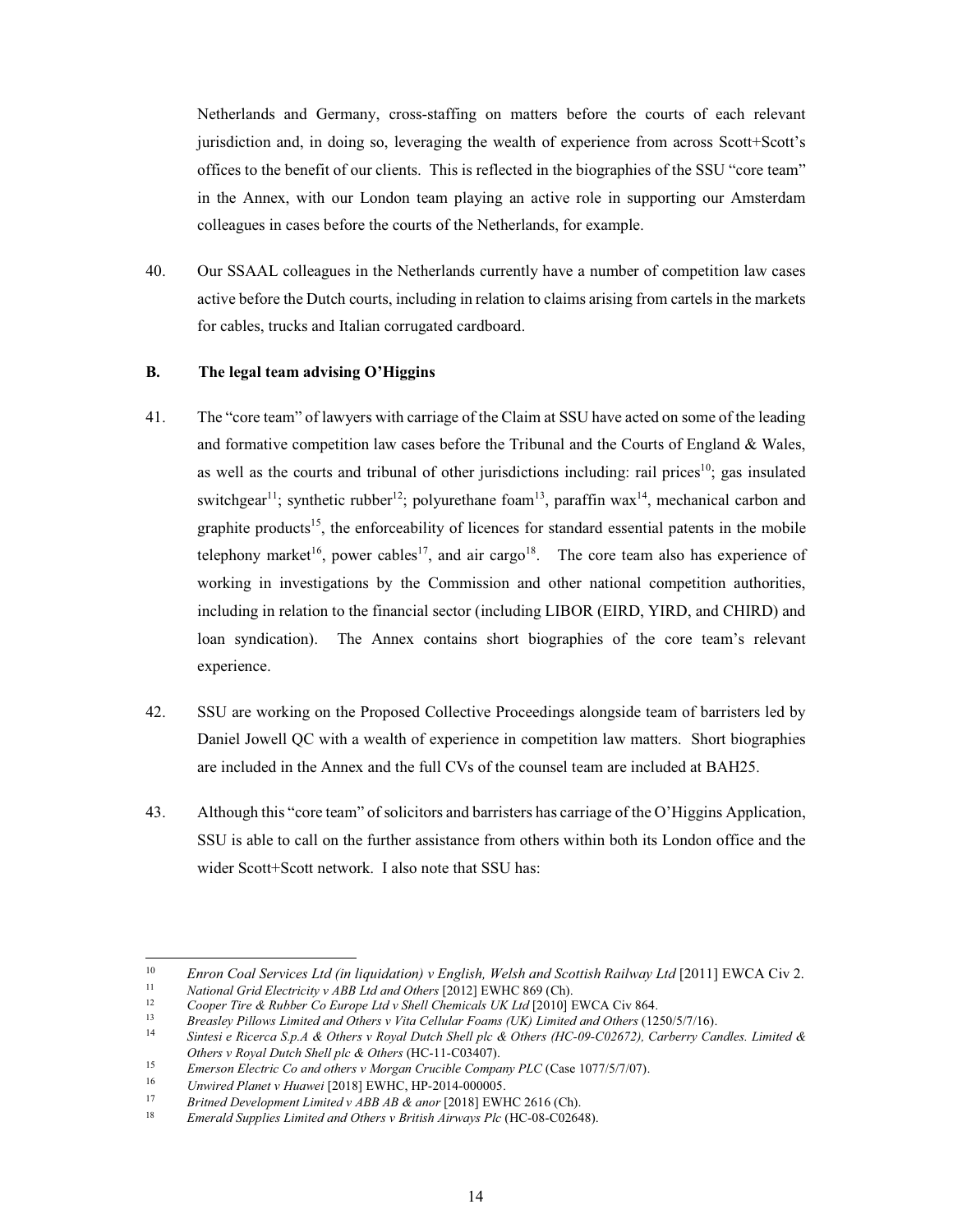Netherlands and Germany, cross-staffing on matters before the courts of each relevant jurisdiction and, in doing so, leveraging the wealth of experience from across Scott+Scott's offices to the benefit of our clients. This is reflected in the biographies of the SSU "core team" in the Annex, with our London team playing an active role in supporting our Amsterdam colleagues in cases before the courts of the Netherlands, for example.

40. Our SSAAL colleagues in the Netherlands currently have a number of competition law cases active before the Dutch courts, including in relation to claims arising from cartels in the markets for cables, trucks and Italian corrugated cardboard.

#### $\mathbf{R}$ The legal team advising O'Higgins

- 41. The "core team" of lawyers with carriage of the Claim at SSU have acted on some of the leading and formative competition law cases before the Tribunal and the Courts of England & Wales, as well as the courts and tribunal of other jurisdictions including: rail prices<sup>10</sup>: gas insulated switchgear<sup>11</sup>; synthetic rubber<sup>12</sup>; polyurethane foam<sup>13</sup>, paraffin wax<sup>14</sup>, mechanical carbon and graphite products<sup>15</sup>, the enforceability of licences for standard essential patents in the mobile telephony market<sup>16</sup>, power cables<sup>17</sup>, and air cargo<sup>18</sup>. The core team also has experience of working in investigations by the Commission and other national competition authorities, including in relation to the financial sector (including LIBOR (EIRD, YIRD, and CHIRD) and loan syndication). The Annex contains short biographies of the core team's relevant experience.
- 42. SSU are working on the Proposed Collective Proceedings alongside team of barristers led by Daniel Jowell OC with a wealth of experience in competition law matters. Short biographies are included in the Annex and the full CVs of the counsel team are included at BAH25.
- 43. Although this "core team" of solicitors and barristers has carriage of the O'Higgins Application, SSU is able to call on the further assistance from others within both its London office and the wider Scott+Scott network. I also note that SSU has:

15 Emerson Electric Co and others v Morgan Crucible Company PLC (Case 1077/5/7/07).

<sup>10</sup> Enron Coal Services Ltd (in liquidation) v English, Welsh and Scottish Railway Ltd [2011] EWCA Civ 2.  $11$ 

National Grid Electricity v ABB Ltd and Others [2012] EWHC 869 (Ch).  $12$ 

Cooper Tire & Rubber Co Europe Ltd v Shell Chemicals UK Ltd [2010] EWCA Civ 864.  $13$ Breasley Pillows Limited and Others v Vita Cellular Foams (UK) Limited and Others (1250/5/7/16).

 $14$ Sintesi e Ricerca S.p.A & Others v Royal Dutch Shell plc & Others (HC-09-C02672), Carberry Candles. Limited & Others v Royal Dutch Shell plc & Others (HC-11-C03407).

<sup>16</sup> Unwired Planet v Huawei [2018] EWHC, HP-2014-000005.

 $17$ Britned Development Limited v ABB AB & anor [2018] EWHC 2616 (Ch).

 $18\,$ Emerald Supplies Limited and Others v British Airways Plc (HC-08-C02648).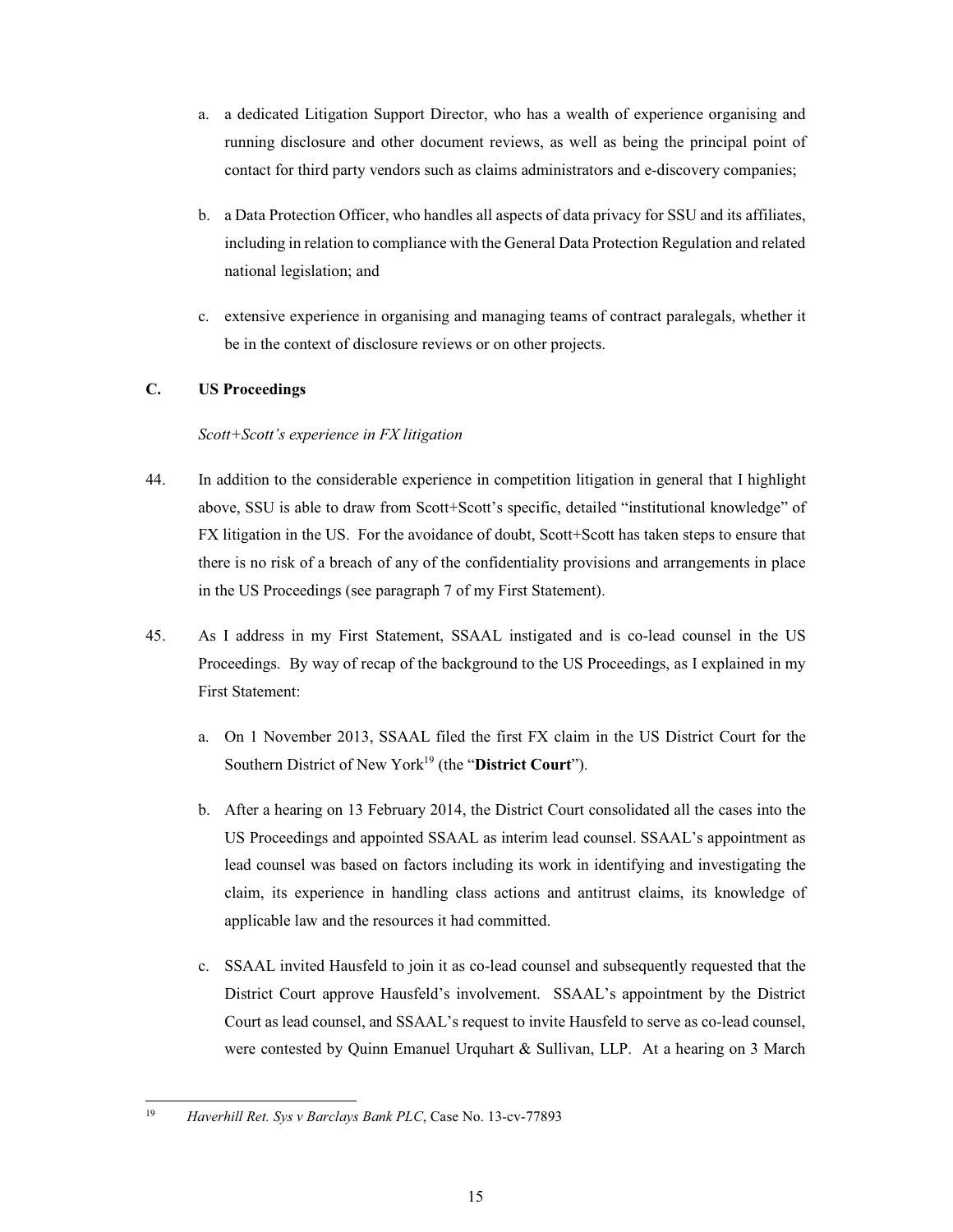- a. a dedicated Litigation Support Director, who has a wealth of experience organising and running disclosure and other document reviews, as well as being the principal point of contact for third party vendors such as claims administrators and e-discovery companies;
- b. a Data Protection Officer, who handles all aspects of data privacy for SSU and its affiliates, including in relation to compliance with the General Data Protection Regulation and related national legislation; and
- c. extensive experience in organising and managing teams of contract paralegals, whether it be in the context of disclosure reviews or on other projects.

# **C. US Proceedings**

# *Scott+Scott's experience in FX litigation*

- 44. In addition to the considerable experience in competition litigation in general that I highlight above, SSU is able to draw from Scott+Scott's specific, detailed "institutional knowledge" of FX litigation in the US. For the avoidance of doubt, Scott+Scott has taken steps to ensure that there is no risk of a breach of any of the confidentiality provisions and arrangements in place in the US Proceedings (see paragraph 7 of my First Statement).
- 45. As I address in my First Statement, SSAAL instigated and is co-lead counsel in the US Proceedings. By way of recap of the background to the US Proceedings, as I explained in my **First Statement:** 
	- a. On 1 November 2013, SSAAL filed the first FX claim in the US District Court for the Southern District of New York<sup>19</sup> (the "District Court").
	- b. After a hearing on 13 February 2014, the District Court consolidated all the cases into the US Proceedings and appointed SSAAL as interim lead counsel. SSAAL's appointment as lead counsel was based on factors including its work in identifying and investigating the claim, its experience in handling class actions and antitrust claims, its knowledge of applicable law and the resources it had committed.
	- c. SSAAL invited Hausfeld to join it as co-lead counsel and subsequently requested that the District Court approve Hausfeld's involvement. SSAAL's appointment by the District Court as lead counsel, and SSAAL's request to invite Hausfeld to serve as co-lead counsel, were contested by Quinn Emanuel Urquhart & Sullivan, LLP. At a hearing on 3 March

<sup>19</sup> Haverhill Ret. Sys v Barclays Bank PLC, Case No. 13-cv-77893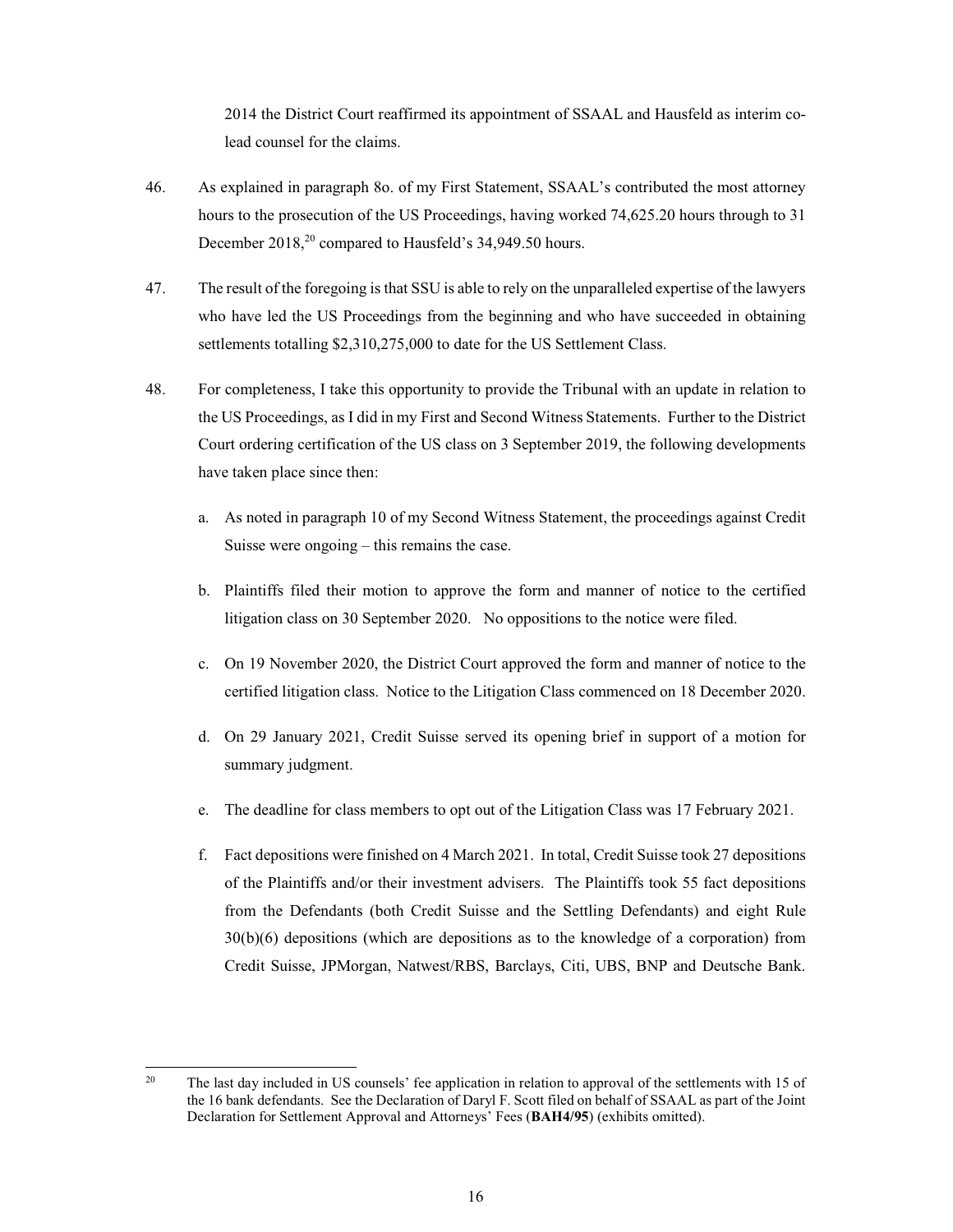2014 the District Court reaffirmed its appointment of SSAAL and Hausfeld as interim colead counsel for the claims.

- 46. As explained in paragraph 80. of my First Statement, SSAAL's contributed the most attorney hours to the prosecution of the US Proceedings, having worked 74,625.20 hours through to 31 December 2018,<sup>20</sup> compared to Hausfeld's 34,949.50 hours.
- 47. The result of the foregoing is that SSU is able to rely on the unparalleled expertise of the lawyers who have led the US Proceedings from the beginning and who have succeeded in obtaining settlements totalling \$2,310,275,000 to date for the US Settlement Class.
- 48. For completeness, I take this opportunity to provide the Tribunal with an update in relation to the US Proceedings, as I did in my First and Second Witness Statements. Further to the District Court ordering certification of the US class on 3 September 2019, the following developments have taken place since then:
	- a. As noted in paragraph 10 of my Second Witness Statement, the proceedings against Credit Suisse were ongoing  $-$  this remains the case.
	- b. Plaintiffs filed their motion to approve the form and manner of notice to the certified litigation class on 30 September 2020. No oppositions to the notice were filed.
	- c. On 19 November 2020, the District Court approved the form and manner of notice to the certified litigation class. Notice to the Litigation Class commenced on 18 December 2020.
	- d. On 29 January 2021, Credit Suisse served its opening brief in support of a motion for summary judgment.
	- e. The deadline for class members to opt out of the Litigation Class was 17 February 2021.
	- f. Fact depositions were finished on 4 March 2021. In total, Credit Suisse took 27 depositions of the Plaintiffs and/or their investment advisers. The Plaintiffs took 55 fact depositions from the Defendants (both Credit Suisse and the Settling Defendants) and eight Rule  $30(b)(6)$  depositions (which are depositions as to the knowledge of a corporation) from Credit Suisse, JPMorgan, Natwest/RBS, Barclays, Citi, UBS, BNP and Deutsche Bank.

 $20<sup>2</sup>$ The last day included in US counsels' fee application in relation to approval of the settlements with 15 of the 16 bank defendants. See the Declaration of Daryl F. Scott filed on behalf of SSAAL as part of the Joint Declaration for Settlement Approval and Attorneys' Fees (BAH4/95) (exhibits omitted).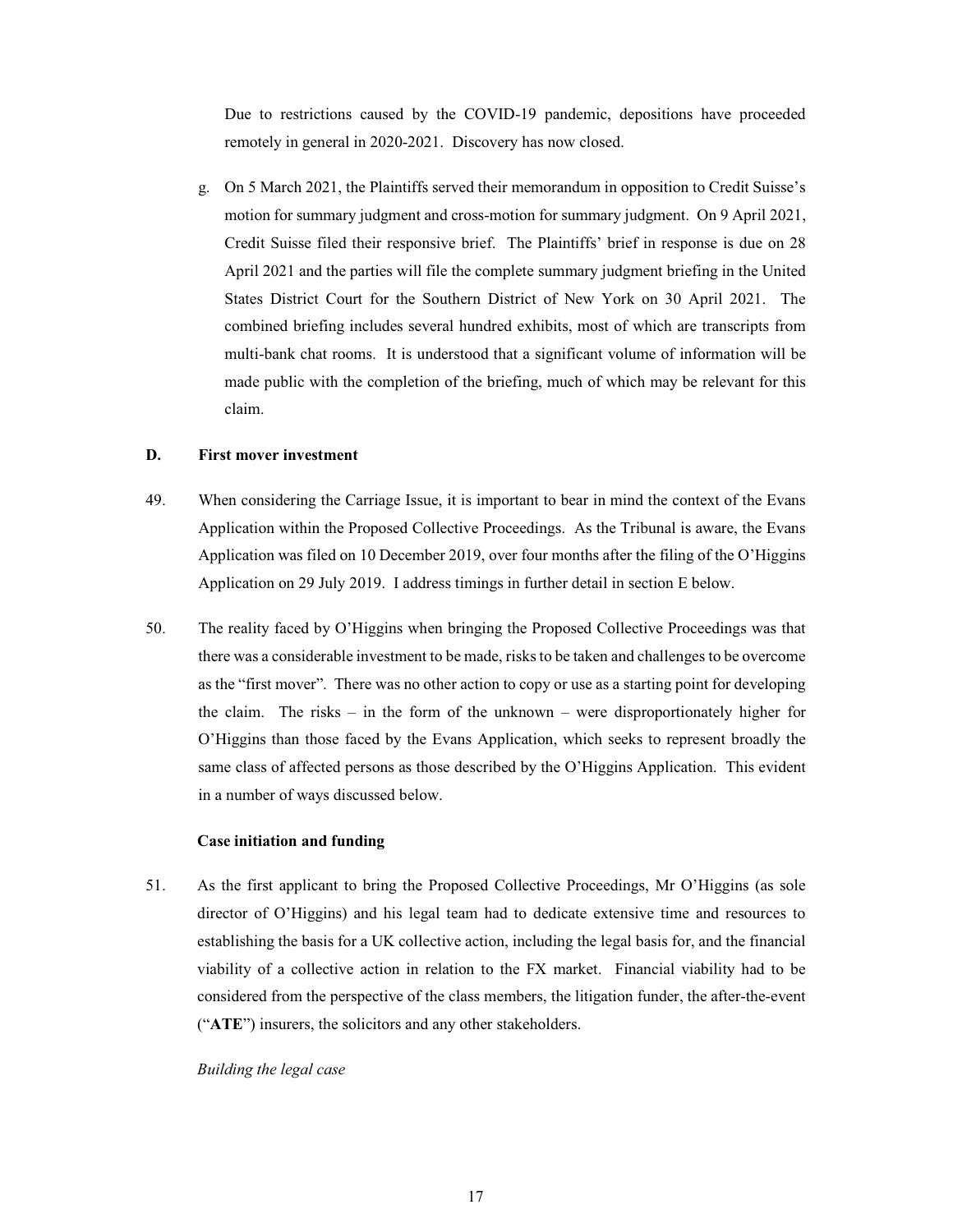Due to restrictions caused by the COVID-19 pandemic, depositions have proceeded remotely in general in 2020-2021. Discovery has now closed.

g. On 5 March 2021, the Plaintiffs served their memorandum in opposition to Credit Suisse's motion for summary judgment and cross-motion for summary judgment. On 9 April 2021, Credit Suisse filed their responsive brief. The Plaintiffs' brief in response is due on 28 April 2021 and the parties will file the complete summary judgment briefing in the United States District Court for the Southern District of New York on 30 April 2021. The combined briefing includes several hundred exhibits, most of which are transcripts from multi-bank chat rooms. It is understood that a significant volume of information will be made public with the completion of the briefing, much of which may be relevant for this claim.

#### D. **First mover investment**

- 49. When considering the Carriage Issue, it is important to bear in mind the context of the Evans Application within the Proposed Collective Proceedings. As the Tribunal is aware, the Evans Application was filed on 10 December 2019, over four months after the filing of the O'Higgins Application on 29 July 2019. I address timings in further detail in section E below.
- 50. The reality faced by O'Higgins when bringing the Proposed Collective Proceedings was that there was a considerable investment to be made, risks to be taken and challenges to be overcome as the "first mover". There was no other action to copy or use as a starting point for developing the claim. The risks – in the form of the unknown – were disproportionately higher for O'Higgins than those faced by the Evans Application, which seeks to represent broadly the same class of affected persons as those described by the O'Higgins Application. This evident in a number of ways discussed below.

### Case initiation and funding

51. As the first applicant to bring the Proposed Collective Proceedings, Mr O'Higgins (as sole director of O'Higgins) and his legal team had to dedicate extensive time and resources to establishing the basis for a UK collective action, including the legal basis for, and the financial viability of a collective action in relation to the FX market. Financial viability had to be considered from the perspective of the class members, the litigation funder, the after-the-event ("ATE") insurers, the solicitors and any other stakeholders.

Building the legal case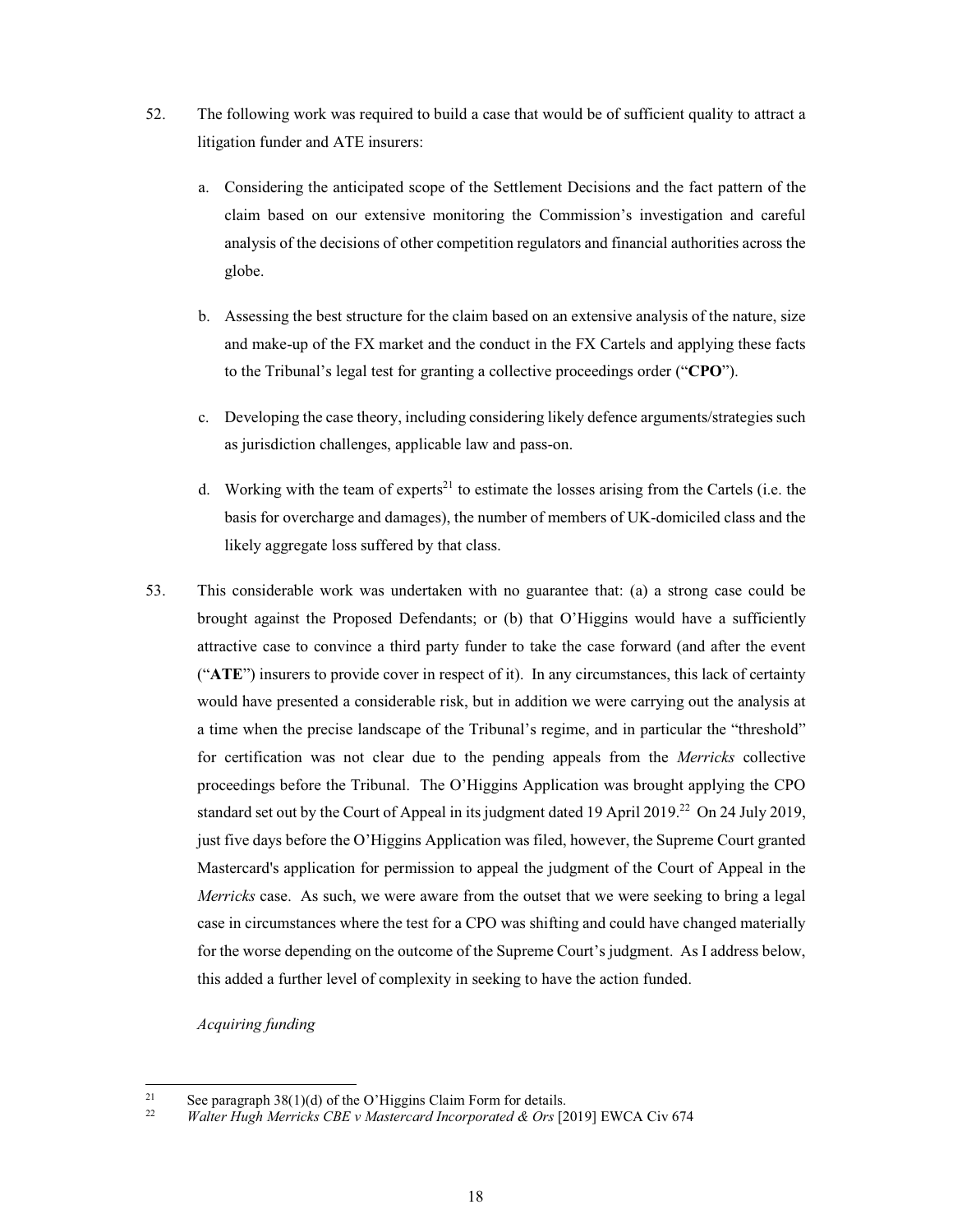- 52. The following work was required to build a case that would be of sufficient quality to attract a litigation funder and ATE insurers:
	- a. Considering the anticipated scope of the Settlement Decisions and the fact pattern of the claim based on our extensive monitoring the Commission's investigation and careful analysis of the decisions of other competition regulators and financial authorities across the globe.
	- b. Assessing the best structure for the claim based on an extensive analysis of the nature, size and make-up of the FX market and the conduct in the FX Cartels and applying these facts to the Tribunal's legal test for granting a collective proceedings order ("CPO").
	- c. Developing the case theory, including considering likely defence arguments/strategies such as jurisdiction challenges, applicable law and pass-on.
	- d. Working with the team of experts<sup>21</sup> to estimate the losses arising from the Cartels (i.e. the basis for overcharge and damages), the number of members of UK-domiciled class and the likely aggregate loss suffered by that class.
- 53. This considerable work was undertaken with no guarantee that: (a) a strong case could be brought against the Proposed Defendants; or (b) that O'Higgins would have a sufficiently attractive case to convince a third party funder to take the case forward (and after the event ("ATE") insurers to provide cover in respect of it). In any circumstances, this lack of certainty would have presented a considerable risk, but in addition we were carrying out the analysis at a time when the precise landscape of the Tribunal's regime, and in particular the "threshold" for certification was not clear due to the pending appeals from the Merricks collective proceedings before the Tribunal. The O'Higgins Application was brought applying the CPO standard set out by the Court of Appeal in its judgment dated 19 April 2019.<sup>22</sup> On 24 July 2019, just five days before the O'Higgins Application was filed, however, the Supreme Court granted Mastercard's application for permission to appeal the judgment of the Court of Appeal in the Merricks case. As such, we were aware from the outset that we were seeking to bring a legal case in circumstances where the test for a CPO was shifting and could have changed materially for the worse depending on the outcome of the Supreme Court's judgment. As I address below, this added a further level of complexity in seeking to have the action funded.

Acquiring funding

 $21$ See paragraph 38(1)(d) of the O'Higgins Claim Form for details.

 $22$ Walter Hugh Merricks CBE v Mastercard Incorporated & Ors [2019] EWCA Civ 674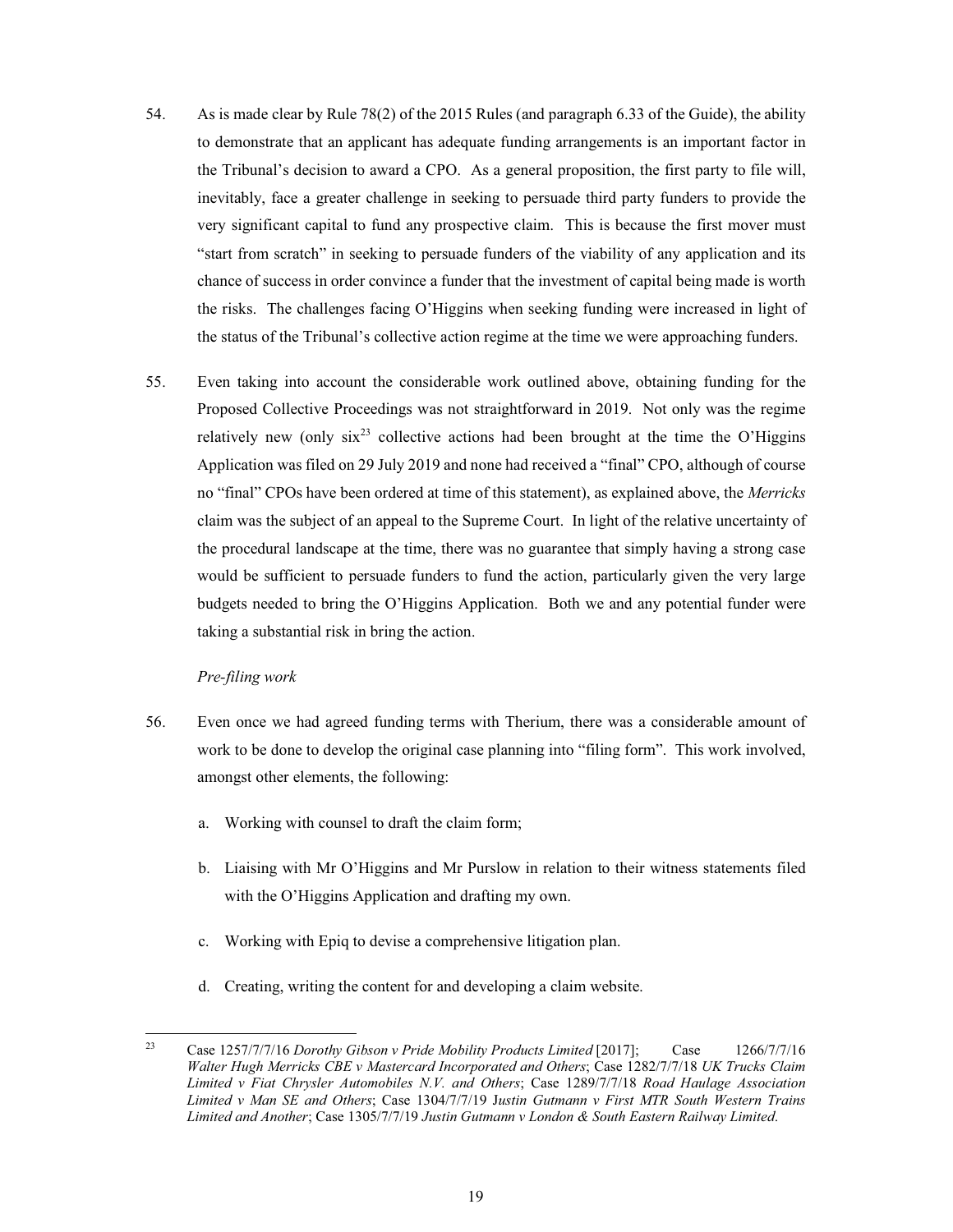- 54. As is made clear by Rule 78(2) of the 2015 Rules (and paragraph 6.33 of the Guide), the ability to demonstrate that an applicant has adequate funding arrangements is an important factor in the Tribunal's decision to award a CPO. As a general proposition, the first party to file will, inevitably, face a greater challenge in seeking to persuade third party funders to provide the very significant capital to fund any prospective claim. This is because the first mover must "start from scratch" in seeking to persuade funders of the viability of any application and its chance of success in order convince a funder that the investment of capital being made is worth the risks. The challenges facing O'Higgins when seeking funding were increased in light of the status of the Tribunal's collective action regime at the time we were approaching funders.
- 55. Even taking into account the considerable work outlined above, obtaining funding for the Proposed Collective Proceedings was not straightforward in 2019. Not only was the regime relatively new (only  $\sin^{23}$  collective actions had been brought at the time the O'Higgins Application was filed on 29 July 2019 and none had received a "final" CPO, although of course no "final" CPOs have been ordered at time of this statement), as explained above, the Merricks claim was the subject of an appeal to the Supreme Court. In light of the relative uncertainty of the procedural landscape at the time, there was no guarantee that simply having a strong case would be sufficient to persuade funders to fund the action, particularly given the very large budgets needed to bring the O'Higgins Application. Both we and any potential funder were taking a substantial risk in bring the action.

# Pre-filing work

- 56. Even once we had agreed funding terms with Therium, there was a considerable amount of work to be done to develop the original case planning into "filing form". This work involved, amongst other elements, the following:
	- a. Working with counsel to draft the claim form;
	- b. Liaising with Mr O'Higgins and Mr Purslow in relation to their witness statements filed with the O'Higgins Application and drafting my own.
	- c. Working with Epiq to devise a comprehensive litigation plan.
	- d. Creating, writing the content for and developing a claim website.

<sup>23</sup> Case 1257/7/7/16 Dorothy Gibson v Pride Mobility Products Limited [2017]; Case 1266/7/7/16 Walter Hugh Merricks CBE v Mastercard Incorporated and Others; Case 1282/7/7/18 UK Trucks Claim Limited v Fiat Chrysler Automobiles N.V. and Others; Case 1289/7/7/18 Road Haulage Association Limited v Man SE and Others; Case 1304/7/7/19 Justin Gutmann v First MTR South Western Trains Limited and Another; Case 1305/7/7/19 Justin Gutmann v London & South Eastern Railway Limited.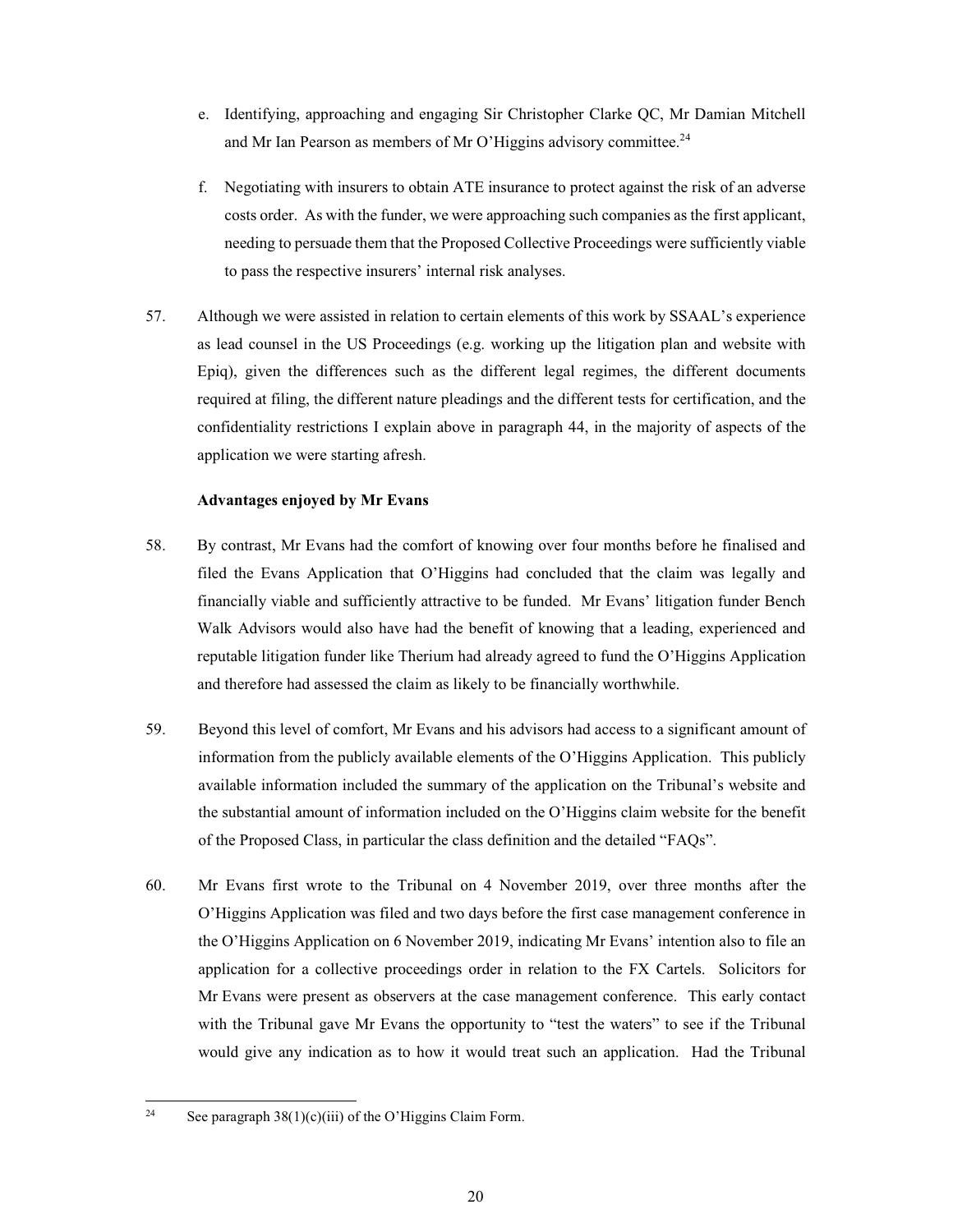- e. Identifying, approaching and engaging Sir Christopher Clarke QC, Mr Damian Mitchell and Mr Ian Pearson as members of Mr O'Higgins advisory committee.<sup>24</sup>
- f. Negotiating with insurers to obtain ATE insurance to protect against the risk of an adverse costs order. As with the funder, we were approaching such companies as the first applicant, needing to persuade them that the Proposed Collective Proceedings were sufficiently viable to pass the respective insurers' internal risk analyses.
- 57. Although we were assisted in relation to certain elements of this work by SSAAL's experience as lead counsel in the US Proceedings (e.g. working up the litigation plan and website with Epiq), given the differences such as the different legal regimes, the different documents required at filing, the different nature pleadings and the different tests for certification, and the confidentiality restrictions I explain above in paragraph 44, in the majority of aspects of the application we were starting afresh.

# **Advantages enjoved by Mr Evans**

- 58. By contrast, Mr Evans had the comfort of knowing over four months before he finalised and filed the Evans Application that O'Higgins had concluded that the claim was legally and financially viable and sufficiently attractive to be funded. Mr Evans' litigation funder Bench Walk Advisors would also have had the benefit of knowing that a leading, experienced and reputable litigation funder like Therium had already agreed to fund the O'Higgins Application and therefore had assessed the claim as likely to be financially worthwhile.
- 59. Beyond this level of comfort, Mr Evans and his advisors had access to a significant amount of information from the publicly available elements of the O'Higgins Application. This publicly available information included the summary of the application on the Tribunal's website and the substantial amount of information included on the O'Higgins claim website for the benefit of the Proposed Class, in particular the class definition and the detailed "FAQs".
- 60. Mr Evans first wrote to the Tribunal on 4 November 2019, over three months after the O'Higgins Application was filed and two days before the first case management conference in the O'Higgins Application on 6 November 2019, indicating Mr Evans' intention also to file an application for a collective proceedings order in relation to the FX Cartels. Solicitors for Mr Evans were present as observers at the case management conference. This early contact with the Tribunal gave Mr Evans the opportunity to "test the waters" to see if the Tribunal would give any indication as to how it would treat such an application. Had the Tribunal

 $24$ See paragraph  $38(1)(c)(iii)$  of the O'Higgins Claim Form.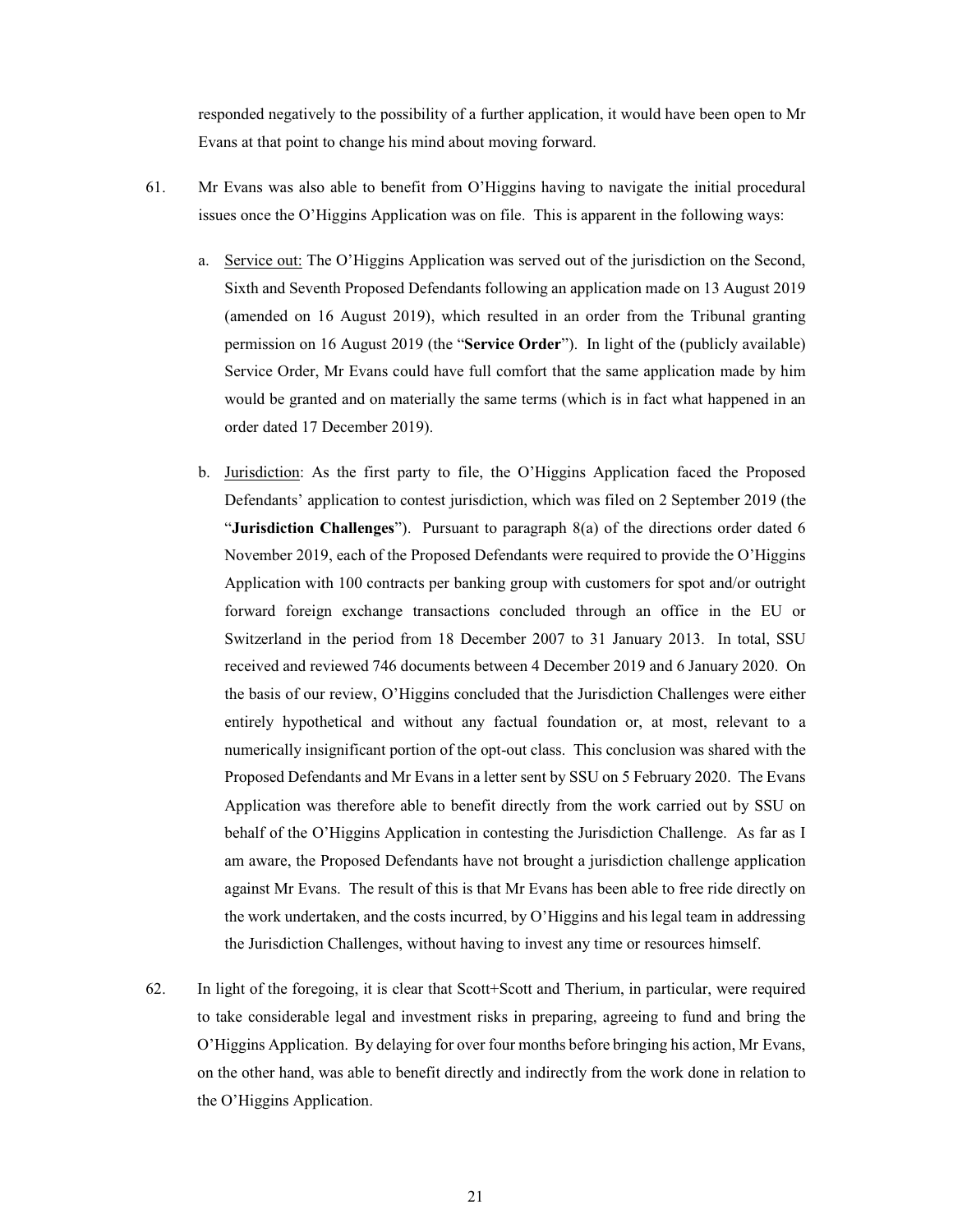responded negatively to the possibility of a further application, it would have been open to Mr Evans at that point to change his mind about moving forward.

- 61. Mr Evans was also able to benefit from O'Higgins having to navigate the initial procedural issues once the O'Higgins Application was on file. This is apparent in the following ways:
	- a. Service out: The O'Higgins Application was served out of the jurisdiction on the Second, Sixth and Seventh Proposed Defendants following an application made on 13 August 2019 (amended on 16 August 2019), which resulted in an order from the Tribunal granting permission on 16 August 2019 (the "Service Order"). In light of the (publicly available) Service Order, Mr Evans could have full comfort that the same application made by him would be granted and on materially the same terms (which is in fact what happened in an order dated 17 December 2019).
	- b. Jurisdiction: As the first party to file, the O'Higgins Application faced the Proposed Defendants' application to contest jurisdiction, which was filed on 2 September 2019 (the "Jurisdiction Challenges"). Pursuant to paragraph  $8(a)$  of the directions order dated 6 November 2019, each of the Proposed Defendants were required to provide the O'Higgins Application with 100 contracts per banking group with customers for spot and/or outright forward foreign exchange transactions concluded through an office in the EU or Switzerland in the period from 18 December 2007 to 31 January 2013. In total, SSU received and reviewed 746 documents between 4 December 2019 and 6 January 2020. On the basis of our review, O'Higgins concluded that the Jurisdiction Challenges were either entirely hypothetical and without any factual foundation or, at most, relevant to a numerically insignificant portion of the opt-out class. This conclusion was shared with the Proposed Defendants and Mr Evans in a letter sent by SSU on 5 February 2020. The Evans Application was therefore able to benefit directly from the work carried out by SSU on behalf of the O'Higgins Application in contesting the Jurisdiction Challenge. As far as I am aware, the Proposed Defendants have not brought a jurisdiction challenge application against Mr Evans. The result of this is that Mr Evans has been able to free ride directly on the work undertaken, and the costs incurred, by O'Higgins and his legal team in addressing the Jurisdiction Challenges, without having to invest any time or resources himself.
- 62. In light of the foregoing, it is clear that Scott+Scott and Therium, in particular, were required to take considerable legal and investment risks in preparing, agreeing to fund and bring the O'Higgins Application. By delaying for over four months before bringing his action, Mr Evans, on the other hand, was able to benefit directly and indirectly from the work done in relation to the O'Higgins Application.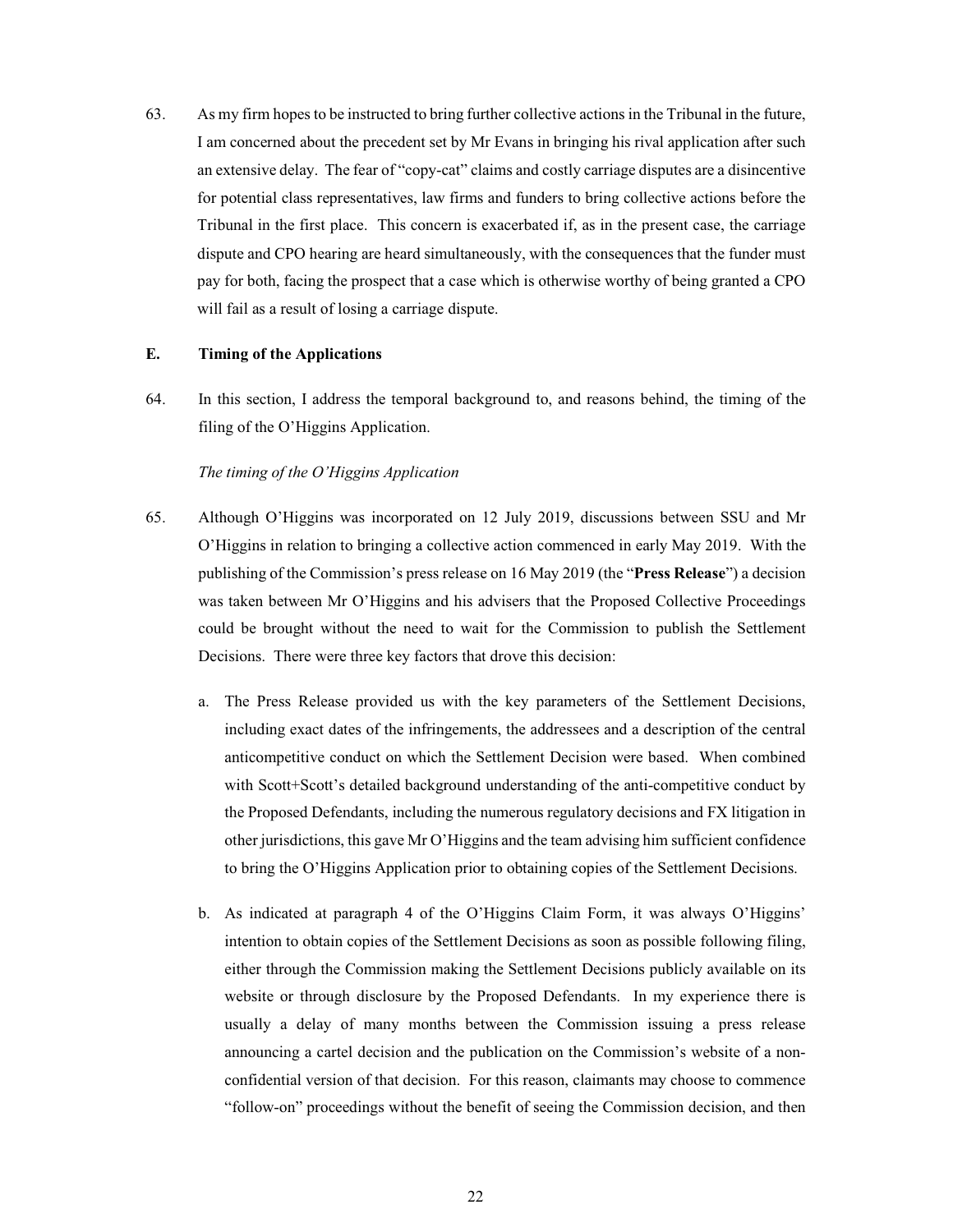63. As my firm hopes to be instructed to bring further collective actions in the Tribunal in the future, I am concerned about the precedent set by Mr Evans in bringing his rival application after such an extensive delay. The fear of "copy-cat" claims and costly carriage disputes are a disincentive for potential class representatives, law firms and funders to bring collective actions before the Tribunal in the first place. This concern is exacerbated if, as in the present case, the carriage dispute and CPO hearing are heard simultaneously, with the consequences that the funder must pay for both, facing the prospect that a case which is otherwise worthy of being granted a CPO will fail as a result of losing a carriage dispute.

#### $E_{\star}$ **Timing of the Applications**

64. In this section, I address the temporal background to, and reasons behind, the timing of the filing of the O'Higgins Application.

### The timing of the O'Higgins Application

- 65. Although O'Higgins was incorporated on 12 July 2019, discussions between SSU and Mr O'Higgins in relation to bringing a collective action commenced in early May 2019. With the publishing of the Commission's press release on 16 May 2019 (the "Press Release") a decision was taken between Mr O'Higgins and his advisers that the Proposed Collective Proceedings could be brought without the need to wait for the Commission to publish the Settlement Decisions. There were three key factors that drove this decision:
	- The Press Release provided us with the key parameters of the Settlement Decisions,  $a_{\cdot}$ including exact dates of the infringements, the addressees and a description of the central anticompetitive conduct on which the Settlement Decision were based. When combined with Scott+Scott's detailed background understanding of the anti-competitive conduct by the Proposed Defendants, including the numerous regulatory decisions and FX litigation in other jurisdictions, this gave Mr O'Higgins and the team advising him sufficient confidence to bring the O'Higgins Application prior to obtaining copies of the Settlement Decisions.
	- b. As indicated at paragraph 4 of the O'Higgins Claim Form, it was always O'Higgins' intention to obtain copies of the Settlement Decisions as soon as possible following filing, either through the Commission making the Settlement Decisions publicly available on its website or through disclosure by the Proposed Defendants. In my experience there is usually a delay of many months between the Commission issuing a press release announcing a cartel decision and the publication on the Commission's website of a nonconfidential version of that decision. For this reason, claimants may choose to commence "follow-on" proceedings without the benefit of seeing the Commission decision, and then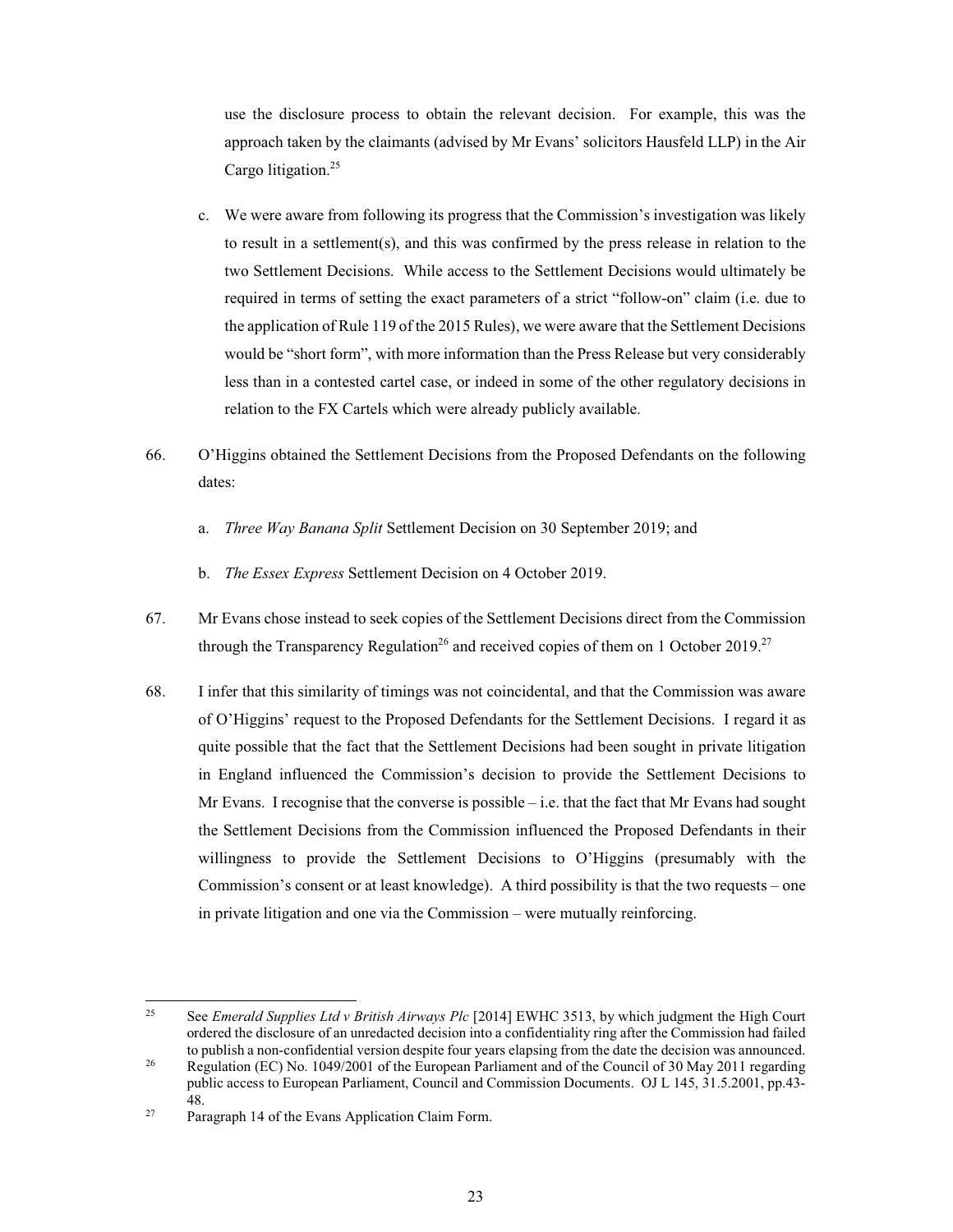use the disclosure process to obtain the relevant decision. For example, this was the approach taken by the claimants (advised by Mr Evans' solicitors Hausfeld LLP) in the Air Cargo litigation.<sup>25</sup>

- c. We were aware from following its progress that the Commission's investigation was likely to result in a settlement(s), and this was confirmed by the press release in relation to the two Settlement Decisions. While access to the Settlement Decisions would ultimately be required in terms of setting the exact parameters of a strict "follow-on" claim (i.e. due to the application of Rule 119 of the 2015 Rules), we were aware that the Settlement Decisions would be "short form", with more information than the Press Release but very considerably less than in a contested cartel case, or indeed in some of the other regulatory decisions in relation to the FX Cartels which were already publicly available.
- 66. O'Higgins obtained the Settlement Decisions from the Proposed Defendants on the following dates:
	- a. Three Way Banana Split Settlement Decision on 30 September 2019; and
	- b. The Essex Express Settlement Decision on 4 October 2019.
- 67. Mr Evans chose instead to seek copies of the Settlement Decisions direct from the Commission through the Transparency Regulation<sup>26</sup> and received copies of them on 1 October 2019.<sup>27</sup>
- 68. I infer that this similarity of timings was not coincidental, and that the Commission was aware of O'Higgins' request to the Proposed Defendants for the Settlement Decisions. I regard it as quite possible that the fact that the Settlement Decisions had been sought in private litigation in England influenced the Commission's decision to provide the Settlement Decisions to Mr Evans. I recognise that the converse is possible  $-$  i.e. that the fact that Mr Evans had sought the Settlement Decisions from the Commission influenced the Proposed Defendants in their willingness to provide the Settlement Decisions to O'Higgins (presumably with the Commission's consent or at least knowledge). A third possibility is that the two requests – one in private litigation and one via the Commission - were mutually reinforcing.

<sup>25</sup> See Emerald Supplies Ltd v British Airways Plc [2014] EWHC 3513, by which judgment the High Court ordered the disclosure of an unredacted decision into a confidentiality ring after the Commission had failed to publish a non-confidential version despite four years elapsing from the date the decision was announced.  $26\,$ Regulation (EC) No. 1049/2001 of the European Parliament and of the Council of 30 May 2011 regarding

public access to European Parliament, Council and Commission Documents. OJ L 145, 31.5.2001, pp.43-48.

 $27$ Paragraph 14 of the Evans Application Claim Form.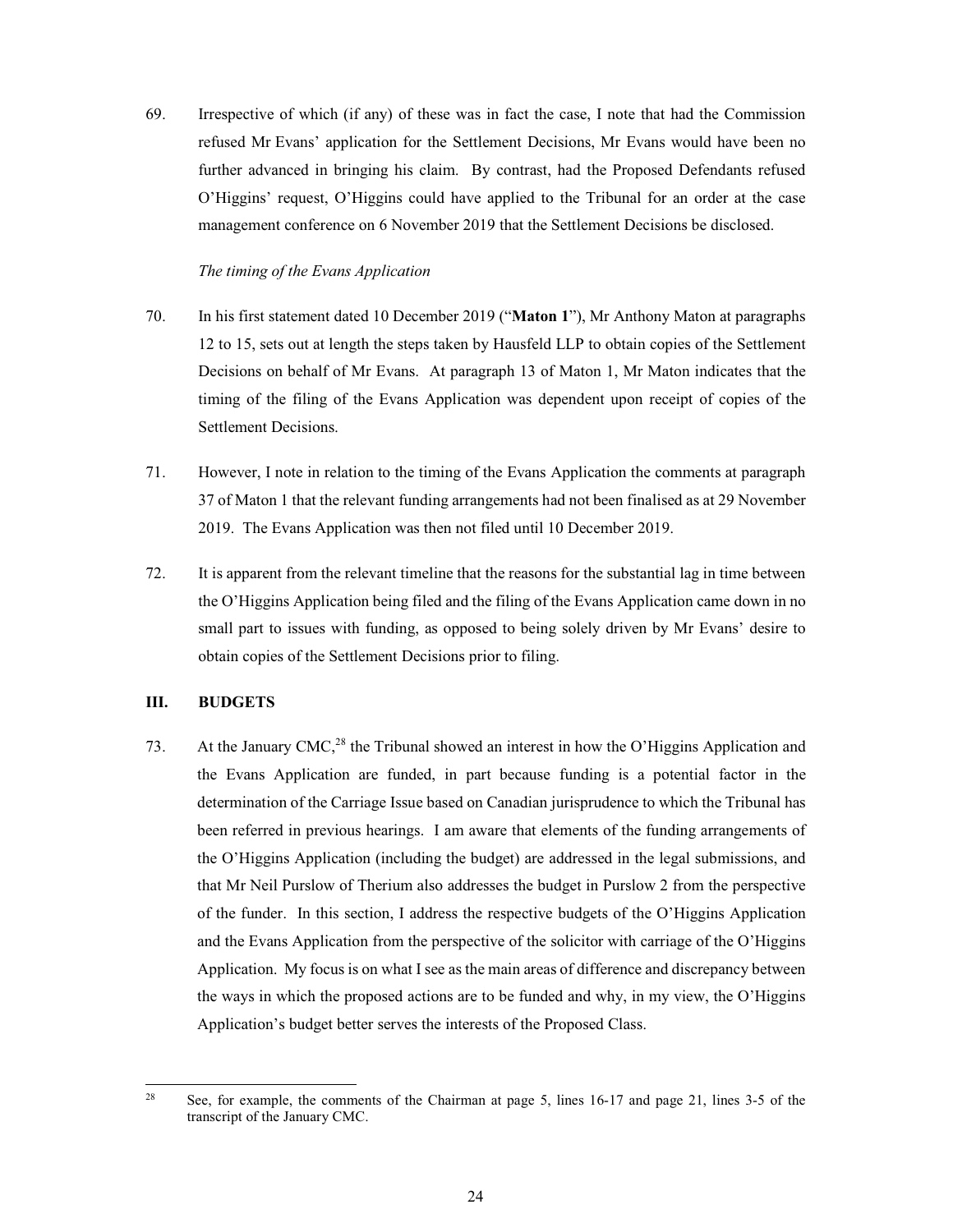69. Irrespective of which (if any) of these was in fact the case, I note that had the Commission refused Mr Evans' application for the Settlement Decisions, Mr Evans would have been no further advanced in bringing his claim. By contrast, had the Proposed Defendants refused O'Higgins' request, O'Higgins could have applied to the Tribunal for an order at the case management conference on 6 November 2019 that the Settlement Decisions be disclosed.

## The timing of the Evans Application

- 70. In his first statement dated 10 December 2019 ("Maton 1"), Mr Anthony Maton at paragraphs 12 to 15, sets out at length the steps taken by Hausfeld LLP to obtain copies of the Settlement Decisions on behalf of Mr Evans. At paragraph 13 of Maton 1, Mr Maton indicates that the timing of the filing of the Evans Application was dependent upon receipt of copies of the Settlement Decisions.
- 71. However, I note in relation to the timing of the Evans Application the comments at paragraph 37 of Maton 1 that the relevant funding arrangements had not been finalised as at 29 November 2019. The Evans Application was then not filed until 10 December 2019.
- 72. It is apparent from the relevant timeline that the reasons for the substantial lag in time between the O'Higgins Application being filed and the filing of the Evans Application came down in no small part to issues with funding, as opposed to being solely driven by Mr Evans' desire to obtain copies of the Settlement Decisions prior to filing.

#### III. **BUDGETS**

At the January CMC,<sup>28</sup> the Tribunal showed an interest in how the O'Higgins Application and 73. the Evans Application are funded, in part because funding is a potential factor in the determination of the Carriage Issue based on Canadian jurisprudence to which the Tribunal has been referred in previous hearings. I am aware that elements of the funding arrangements of the O'Higgins Application (including the budget) are addressed in the legal submissions, and that Mr Neil Purslow of Therium also addresses the budget in Purslow 2 from the perspective of the funder. In this section, I address the respective budgets of the O'Higgins Application and the Evans Application from the perspective of the solicitor with carriage of the O'Higgins Application. My focus is on what I see as the main areas of difference and discrepancy between the ways in which the proposed actions are to be funded and why, in my view, the O'Higgins Application's budget better serves the interests of the Proposed Class.

<sup>28</sup> See, for example, the comments of the Chairman at page 5, lines 16-17 and page 21, lines 3-5 of the transcript of the January CMC.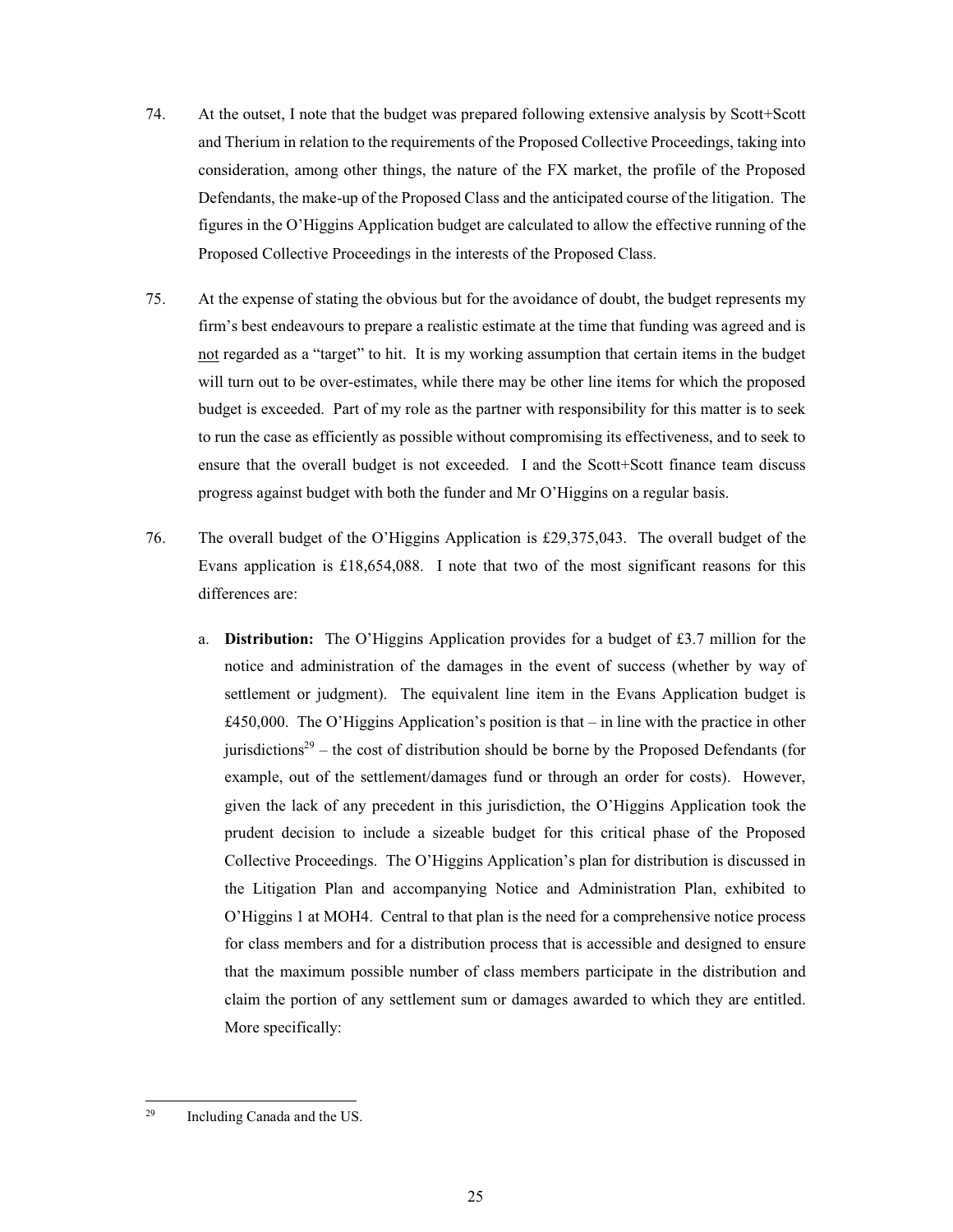- 74. At the outset, I note that the budget was prepared following extensive analysis by Scott+Scott and Therium in relation to the requirements of the Proposed Collective Proceedings, taking into consideration, among other things, the nature of the FX market, the profile of the Proposed Defendants, the make-up of the Proposed Class and the anticipated course of the litigation. The figures in the O'Higgins Application budget are calculated to allow the effective running of the Proposed Collective Proceedings in the interests of the Proposed Class.
- 75. At the expense of stating the obvious but for the avoidance of doubt, the budget represents my firm's best endeavours to prepare a realistic estimate at the time that funding was agreed and is not regarded as a "target" to hit. It is my working assumption that certain items in the budget will turn out to be over-estimates, while there may be other line items for which the proposed budget is exceeded. Part of my role as the partner with responsibility for this matter is to seek to run the case as efficiently as possible without compromising its effectiveness, and to seek to ensure that the overall budget is not exceeded. I and the Scott+Scott finance team discuss progress against budget with both the funder and Mr O'Higgins on a regular basis.
- 76. The overall budget of the O'Higgins Application is £29,375,043. The overall budget of the Evans application is  $£18,654,088$ . I note that two of the most significant reasons for this differences are:
	- **Distribution:** The O'Higgins Application provides for a budget of £3.7 million for the a. notice and administration of the damages in the event of success (whether by way of settlement or judgment). The equivalent line item in the Evans Application budget is £450,000. The O'Higgins Application's position is that  $-$  in line with the practice in other jurisdictions<sup>29</sup> – the cost of distribution should be borne by the Proposed Defendants (for example, out of the settlement/damages fund or through an order for costs). However, given the lack of any precedent in this jurisdiction, the O'Higgins Application took the prudent decision to include a sizeable budget for this critical phase of the Proposed Collective Proceedings. The O'Higgins Application's plan for distribution is discussed in the Litigation Plan and accompanying Notice and Administration Plan, exhibited to O'Higgins 1 at MOH4. Central to that plan is the need for a comprehensive notice process for class members and for a distribution process that is accessible and designed to ensure that the maximum possible number of class members participate in the distribution and claim the portion of any settlement sum or damages awarded to which they are entitled. More specifically:

<sup>29</sup> Including Canada and the US.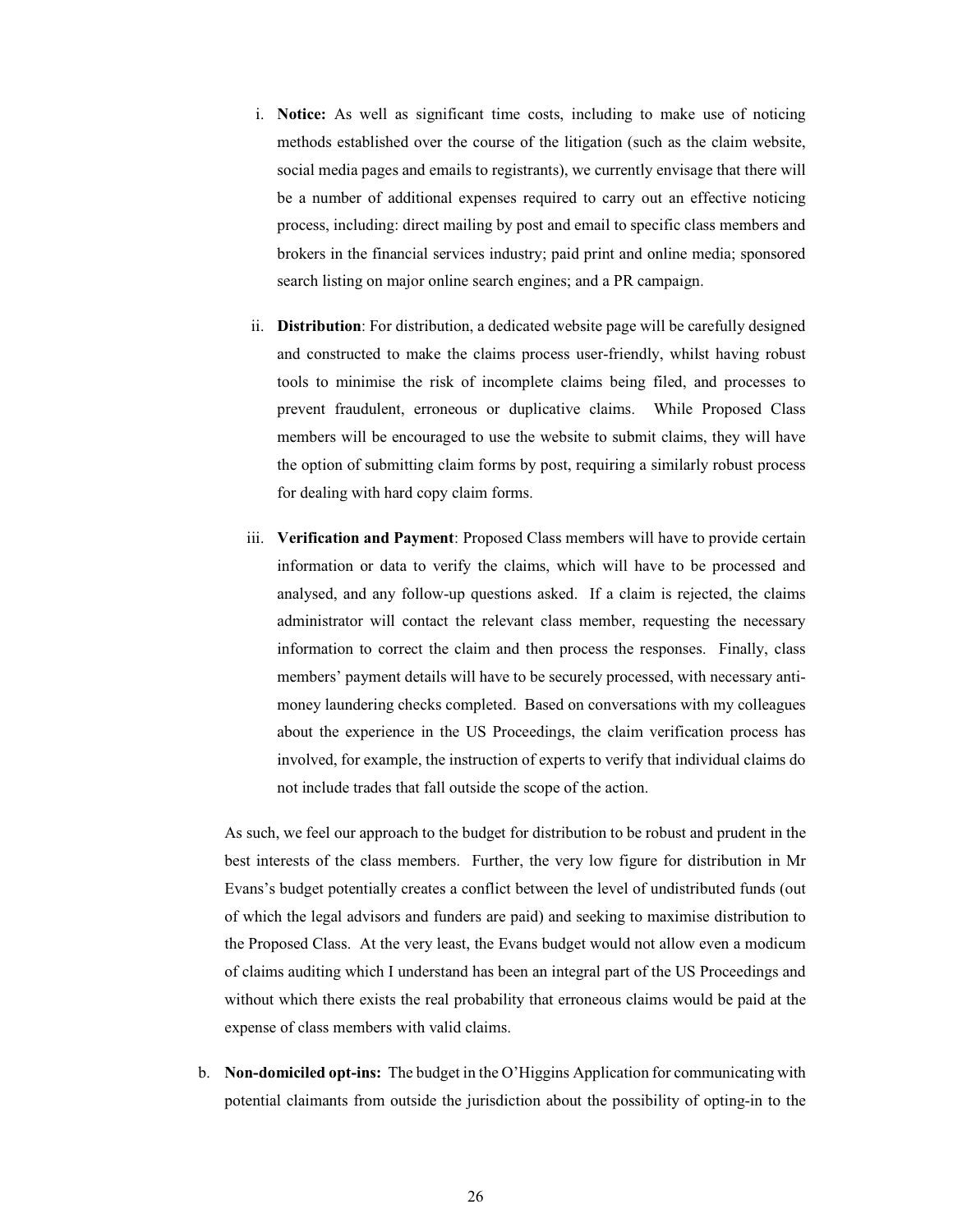- i. Notice: As well as significant time costs, including to make use of noticing methods established over the course of the litigation (such as the claim website, social media pages and emails to registrants), we currently envisage that there will be a number of additional expenses required to carry out an effective noticing process, including: direct mailing by post and email to specific class members and brokers in the financial services industry; paid print and online media; sponsored search listing on major online search engines; and a PR campaign.
- ii. Distribution: For distribution, a dedicated website page will be carefully designed and constructed to make the claims process user-friendly, whilst having robust tools to minimise the risk of incomplete claims being filed, and processes to prevent fraudulent, erroneous or duplicative claims. While Proposed Class members will be encouraged to use the website to submit claims, they will have the option of submitting claim forms by post, requiring a similarly robust process for dealing with hard copy claim forms.
- iii. Verification and Payment: Proposed Class members will have to provide certain information or data to verify the claims, which will have to be processed and analysed, and any follow-up questions asked. If a claim is rejected, the claims administrator will contact the relevant class member, requesting the necessary information to correct the claim and then process the responses. Finally, class members' payment details will have to be securely processed, with necessary antimoney laundering checks completed. Based on conversations with my colleagues about the experience in the US Proceedings, the claim verification process has involved, for example, the instruction of experts to verify that individual claims do not include trades that fall outside the scope of the action.

As such, we feel our approach to the budget for distribution to be robust and prudent in the best interests of the class members. Further, the very low figure for distribution in Mr Evans's budget potentially creates a conflict between the level of undistributed funds (out of which the legal advisors and funders are paid) and seeking to maximise distribution to the Proposed Class. At the very least, the Evans budget would not allow even a modicum of claims auditing which I understand has been an integral part of the US Proceedings and without which there exists the real probability that erroneous claims would be paid at the expense of class members with valid claims.

b. Non-domiciled opt-ins: The budget in the O'Higgins Application for communicating with potential claimants from outside the jurisdiction about the possibility of opting-in to the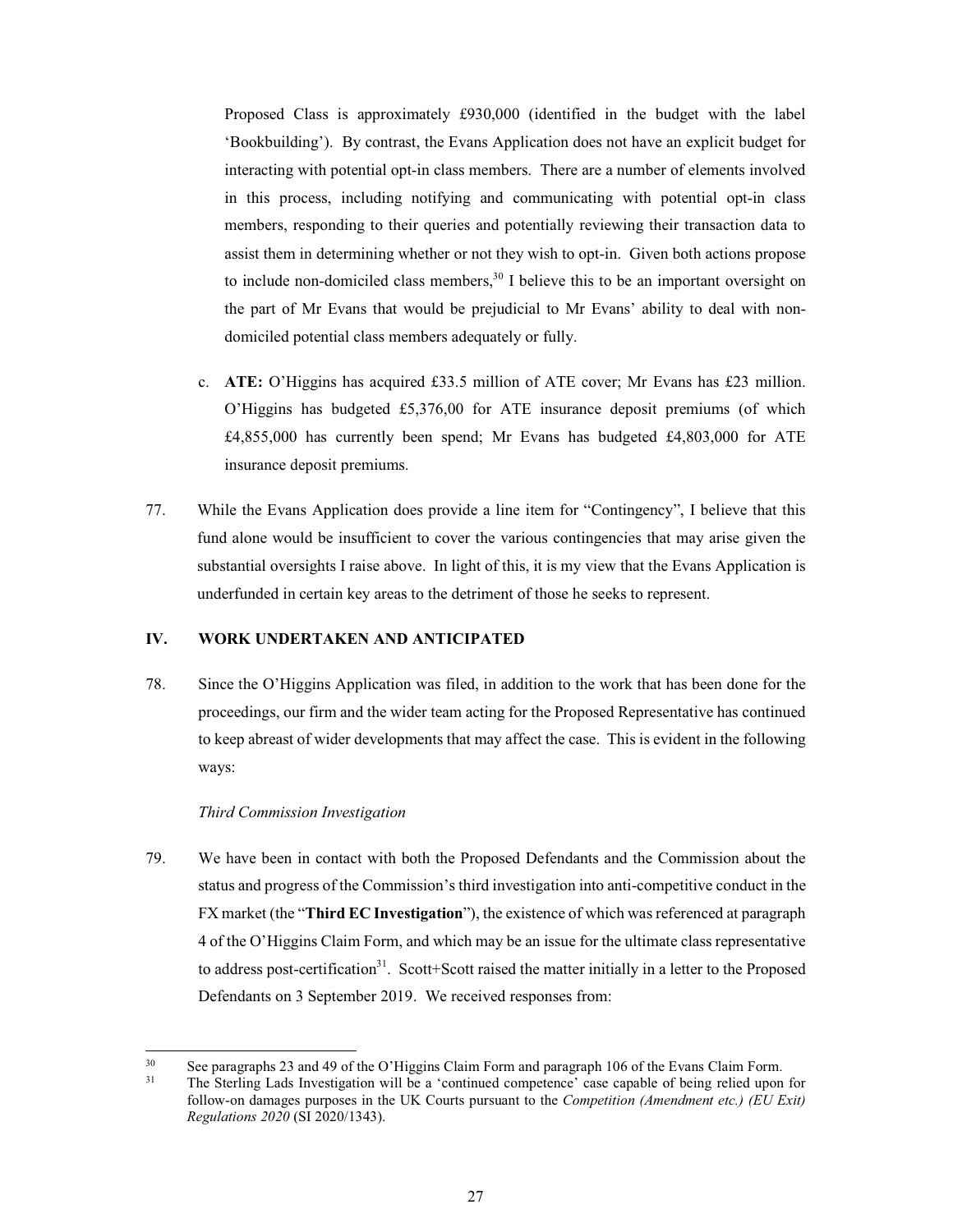Proposed Class is approximately £930,000 (identified in the budget with the label 'Bookbuilding'). By contrast, the Evans Application does not have an explicit budget for interacting with potential opt-in class members. There are a number of elements involved in this process, including notifying and communicating with potential opt-in class members, responding to their queries and potentially reviewing their transaction data to assist them in determining whether or not they wish to opt-in. Given both actions propose to include non-domiciled class members,<sup>30</sup> I believe this to be an important oversight on the part of Mr Evans that would be prejudicial to Mr Evans' ability to deal with nondomiciled potential class members adequately or fully.

- c. ATE: O'Higgins has acquired £33.5 million of ATE cover; Mr Evans has £23 million. O'Higgins has budgeted £5,376,00 for ATE insurance deposit premiums (of which £4,855,000 has currently been spend; Mr Evans has budgeted £4,803,000 for ATE insurance deposit premiums.
- 77. While the Evans Application does provide a line item for "Contingency", I believe that this fund alone would be insufficient to cover the various contingencies that may arise given the substantial oversights I raise above. In light of this, it is my view that the Evans Application is underfunded in certain key areas to the detriment of those he seeks to represent.

#### IV. WORK UNDERTAKEN AND ANTICIPATED

78. Since the O'Higgins Application was filed, in addition to the work that has been done for the proceedings, our firm and the wider team acting for the Proposed Representative has continued to keep abreast of wider developments that may affect the case. This is evident in the following ways:

### Third Commission Investigation

79. We have been in contact with both the Proposed Defendants and the Commission about the status and progress of the Commission's third investigation into anti-competitive conduct in the FX market (the "Third EC Investigation"), the existence of which was referenced at paragraph 4 of the O'Higgins Claim Form, and which may be an issue for the ultimate class representative to address post-certification<sup>31</sup>. Scott+Scott raised the matter initially in a letter to the Proposed Defendants on 3 September 2019. We received responses from:

 $30<sup>2</sup>$ See paragraphs 23 and 49 of the O'Higgins Claim Form and paragraph 106 of the Evans Claim Form.  $31$ The Sterling Lads Investigation will be a 'continued competence' case capable of being relied upon for follow-on damages purposes in the UK Courts pursuant to the Competition (Amendment etc.) (EU Exit) Regulations 2020 (SI 2020/1343).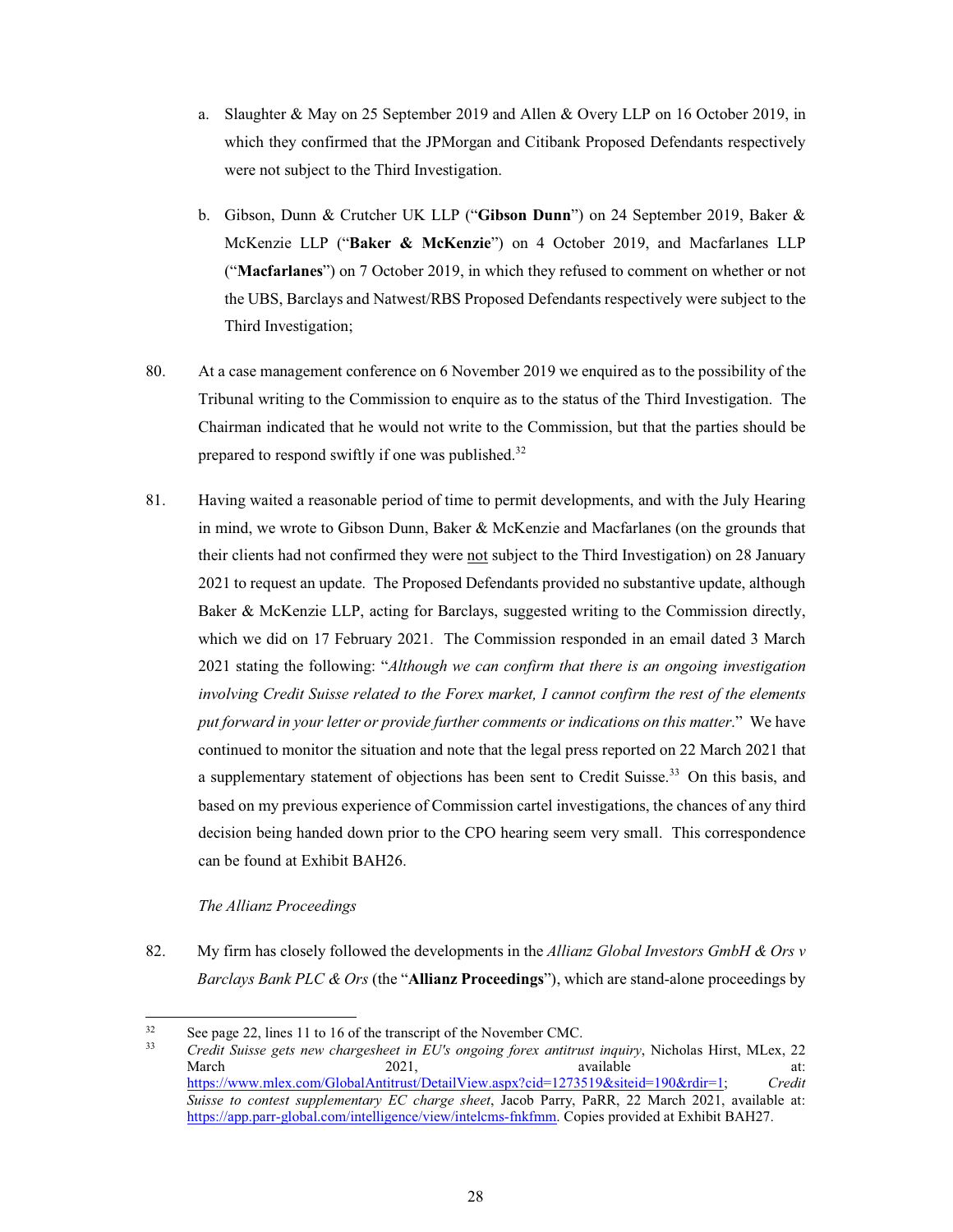- a. Slaughter & May on 25 September 2019 and Allen & Overy LLP on 16 October 2019, in which they confirmed that the JPMorgan and Citibank Proposed Defendants respectively were not subject to the Third Investigation.
- b. Gibson, Dunn & Crutcher UK LLP ("Gibson Dunn") on 24 September 2019, Baker & McKenzie LLP ("Baker & McKenzie") on 4 October 2019, and Macfarlanes LLP ("**Macfarlanes**") on 7 October 2019, in which they refused to comment on whether or not the UBS, Barclays and Natwest/RBS Proposed Defendants respectively were subject to the Third Investigation;
- 80. At a case management conference on 6 November 2019 we enquired as to the possibility of the Tribunal writing to the Commission to enquire as to the status of the Third Investigation. The Chairman indicated that he would not write to the Commission, but that the parties should be prepared to respond swiftly if one was published.<sup>32</sup>
- 81. Having waited a reasonable period of time to permit developments, and with the July Hearing in mind, we wrote to Gibson Dunn, Baker & McKenzie and Macfarlanes (on the grounds that their clients had not confirmed they were not subject to the Third Investigation) on 28 January 2021 to request an update. The Proposed Defendants provided no substantive update, although Baker & McKenzie LLP, acting for Barclays, suggested writing to the Commission directly, which we did on 17 February 2021. The Commission responded in an email dated 3 March 2021 stating the following: "Although we can confirm that there is an ongoing investigation *involving Credit Suisse related to the Forex market, I cannot confirm the rest of the elements put forward in your letter or provide further comments or indications on this matter*." We have continued to monitor the situation and note that the legal press reported on 22 March 2021 that a supplementary statement of objections has been sent to Credit Suisse.<sup>33</sup> On this basis, and based on my previous experience of Commission cartel investigations, the chances of any third decision being handed down prior to the CPO hearing seem very small. This correspondence can be found at Exhibit BAH26.

# *The Allianz Proceedings*

82. My firm has closely followed the developments in the *Allianz Global Investors GmbH & Ors v Barclays Bank PLC & Ors* (the "**Allianz Proceedings**"), which are stand-alone proceedings by

<sup>32</sup> See page 22, lines 11 to 16 of the transcript of the November CMC.<br> $\frac{33}{2}$  Cradit Suisse gets now showgasheet in *EU's* opening force getting

*Credit Suisse gets new chargesheet in EU's ongoing forex antitrust inquiry*, Nicholas Hirst, MLex, 22 March 2021, available at: https://www.mlex.com/GlobalAntitrust/DetailView.aspx?cid=1273519&siteid=190&rdir=1; Credit *Suisse to contest supplementary EC charge sheet*, Jacob Parry, PaRR, 22 March 2021, available at: https://app.parr-global.com/intelligence/view/intelcms-fnkfmm. Copies provided at Exhibit BAH27.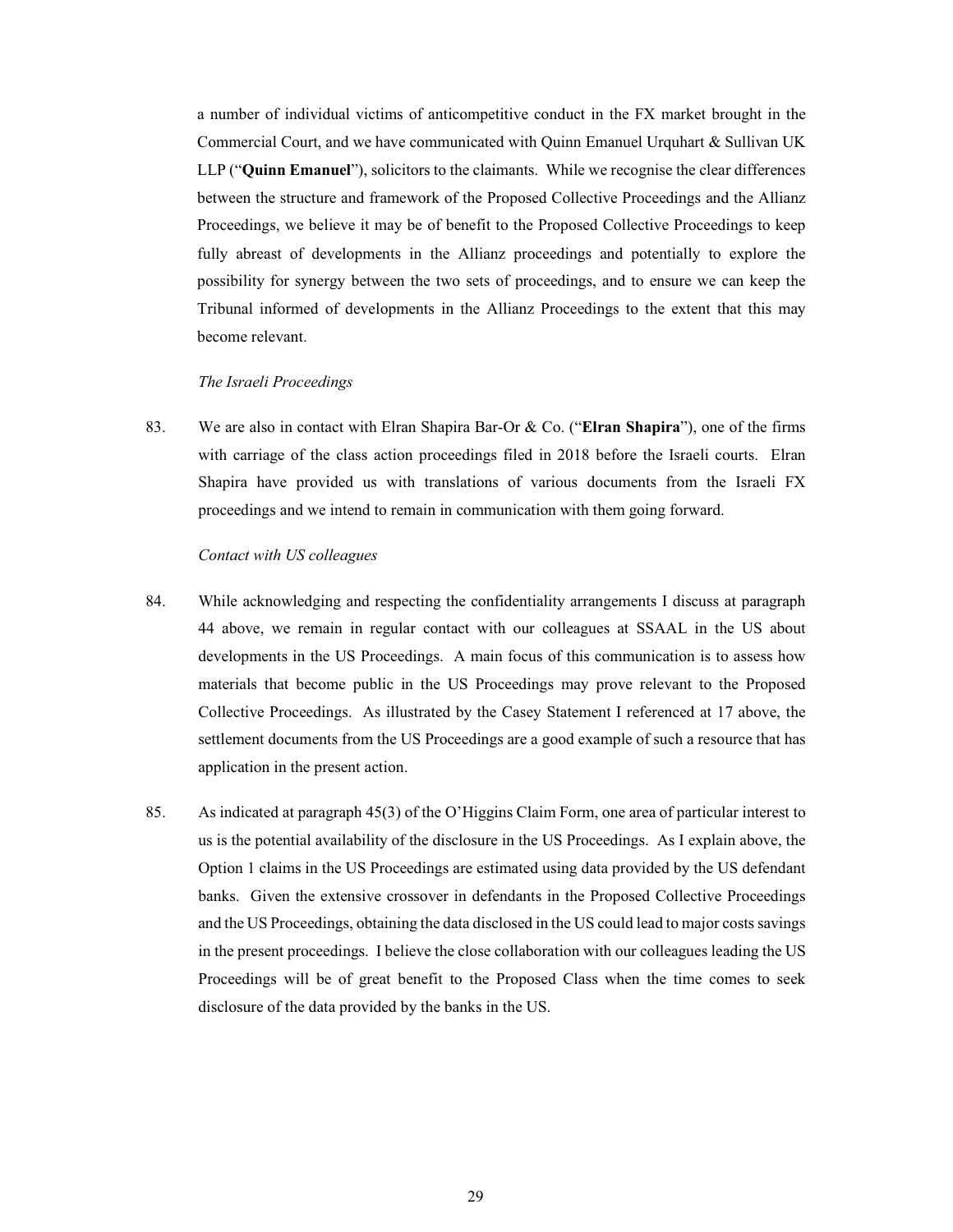a number of individual victims of anticompetitive conduct in the FX market brought in the Commercial Court, and we have communicated with Quinn Emanuel Urquhart  $\&$  Sullivan UK LLP ("Quinn Emanuel"), solicitors to the claimants. While we recognise the clear differences between the structure and framework of the Proposed Collective Proceedings and the Allianz Proceedings, we believe it may be of benefit to the Proposed Collective Proceedings to keep fully abreast of developments in the Allianz proceedings and potentially to explore the possibility for synergy between the two sets of proceedings, and to ensure we can keep the Tribunal informed of developments in the Allianz Proceedings to the extent that this may become relevant.

### The Israeli Proceedings

83. We are also in contact with Elran Shapira Bar-Or & Co. ("Elran Shapira"), one of the firms with carriage of the class action proceedings filed in 2018 before the Israeli courts. Elran Shapira have provided us with translations of various documents from the Israeli FX proceedings and we intend to remain in communication with them going forward.

## Contact with US colleagues

- 84. While acknowledging and respecting the confidentiality arrangements I discuss at paragraph 44 above, we remain in regular contact with our colleagues at SSAAL in the US about developments in the US Proceedings. A main focus of this communication is to assess how materials that become public in the US Proceedings may prove relevant to the Proposed Collective Proceedings. As illustrated by the Casey Statement I referenced at 17 above, the settlement documents from the US Proceedings are a good example of such a resource that has application in the present action.
- 85. As indicated at paragraph 45(3) of the O'Higgins Claim Form, one area of particular interest to us is the potential availability of the disclosure in the US Proceedings. As I explain above, the Option 1 claims in the US Proceedings are estimated using data provided by the US defendant banks. Given the extensive crossover in defendants in the Proposed Collective Proceedings and the US Proceedings, obtaining the data disclosed in the US could lead to major costs savings in the present proceedings. I believe the close collaboration with our colleagues leading the US Proceedings will be of great benefit to the Proposed Class when the time comes to seek disclosure of the data provided by the banks in the US.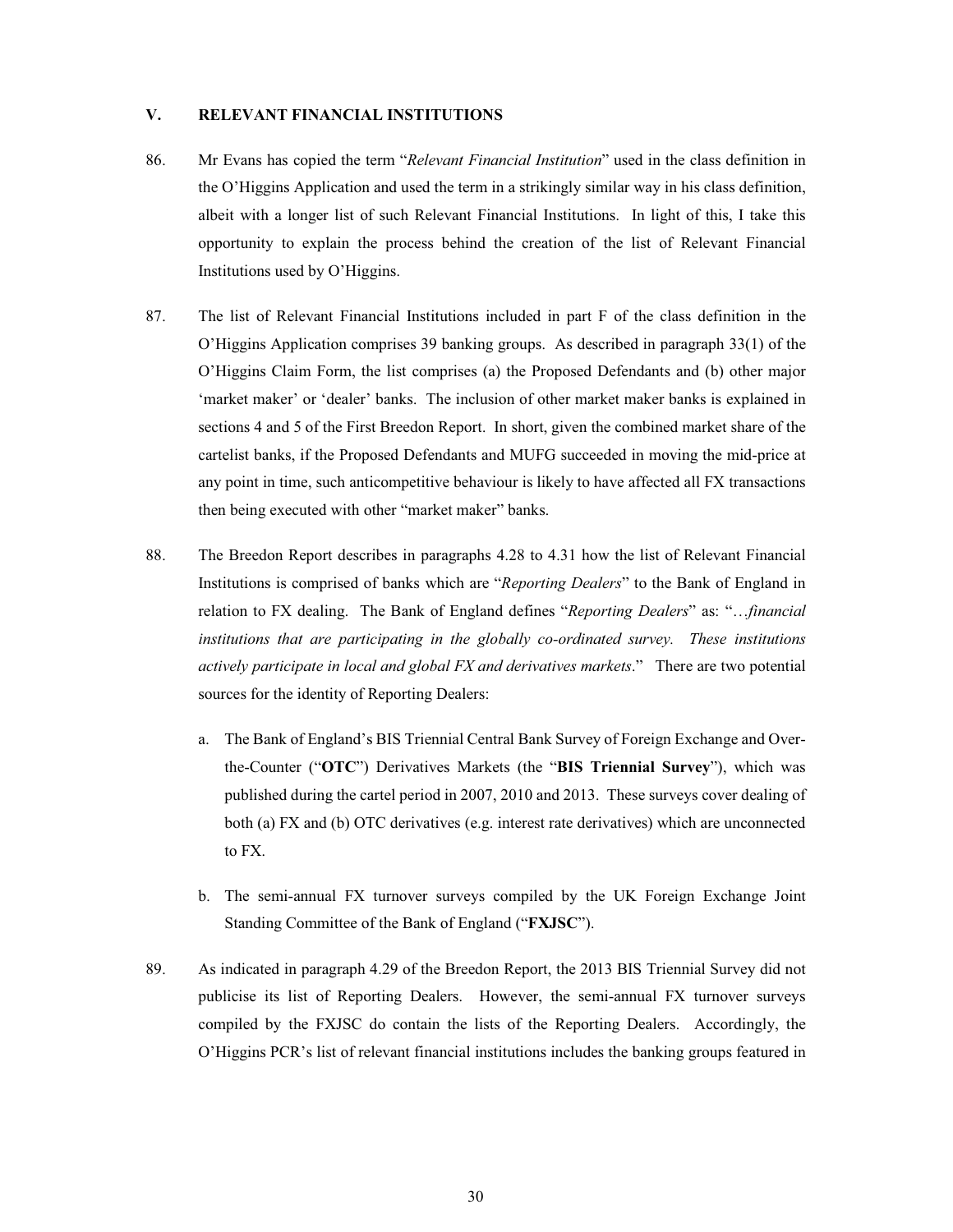#### $V_{\bullet}$ **RELEVANT FINANCIAL INSTITUTIONS**

- Mr Evans has copied the term "Relevant Financial Institution" used in the class definition in 86. the O'Higgins Application and used the term in a strikingly similar way in his class definition, albeit with a longer list of such Relevant Financial Institutions. In light of this, I take this opportunity to explain the process behind the creation of the list of Relevant Financial Institutions used by O'Higgins.
- 87. The list of Relevant Financial Institutions included in part F of the class definition in the O'Higgins Application comprises 39 banking groups. As described in paragraph 33(1) of the O'Higgins Claim Form, the list comprises (a) the Proposed Defendants and (b) other major 'market maker' or 'dealer' banks. The inclusion of other market maker banks is explained in sections 4 and 5 of the First Breedon Report. In short, given the combined market share of the cartelist banks, if the Proposed Defendants and MUFG succeeded in moving the mid-price at any point in time, such anticompetitive behaviour is likely to have affected all FX transactions then being executed with other "market maker" banks.
- 88. The Breedon Report describes in paragraphs 4.28 to 4.31 how the list of Relevant Financial Institutions is comprised of banks which are "Reporting Dealers" to the Bank of England in relation to FX dealing. The Bank of England defines "Reporting Dealers" as: "...financial institutions that are participating in the globally co-ordinated survey. These institutions actively participate in local and global FX and derivatives markets." There are two potential sources for the identity of Reporting Dealers:
	- a. The Bank of England's BIS Triennial Central Bank Survey of Foreign Exchange and Overthe-Counter ("OTC") Derivatives Markets (the "BIS Triennial Survey"), which was published during the cartel period in 2007, 2010 and 2013. These surveys cover dealing of both (a) FX and (b) OTC derivatives (e.g. interest rate derivatives) which are unconnected to FX.
	- b. The semi-annual FX turnover surveys compiled by the UK Foreign Exchange Joint Standing Committee of the Bank of England ("FXJSC").
- 89. As indicated in paragraph 4.29 of the Breedon Report, the 2013 BIS Triennial Survey did not publicise its list of Reporting Dealers. However, the semi-annual FX turnover surveys compiled by the FXJSC do contain the lists of the Reporting Dealers. Accordingly, the O'Higgins PCR's list of relevant financial institutions includes the banking groups featured in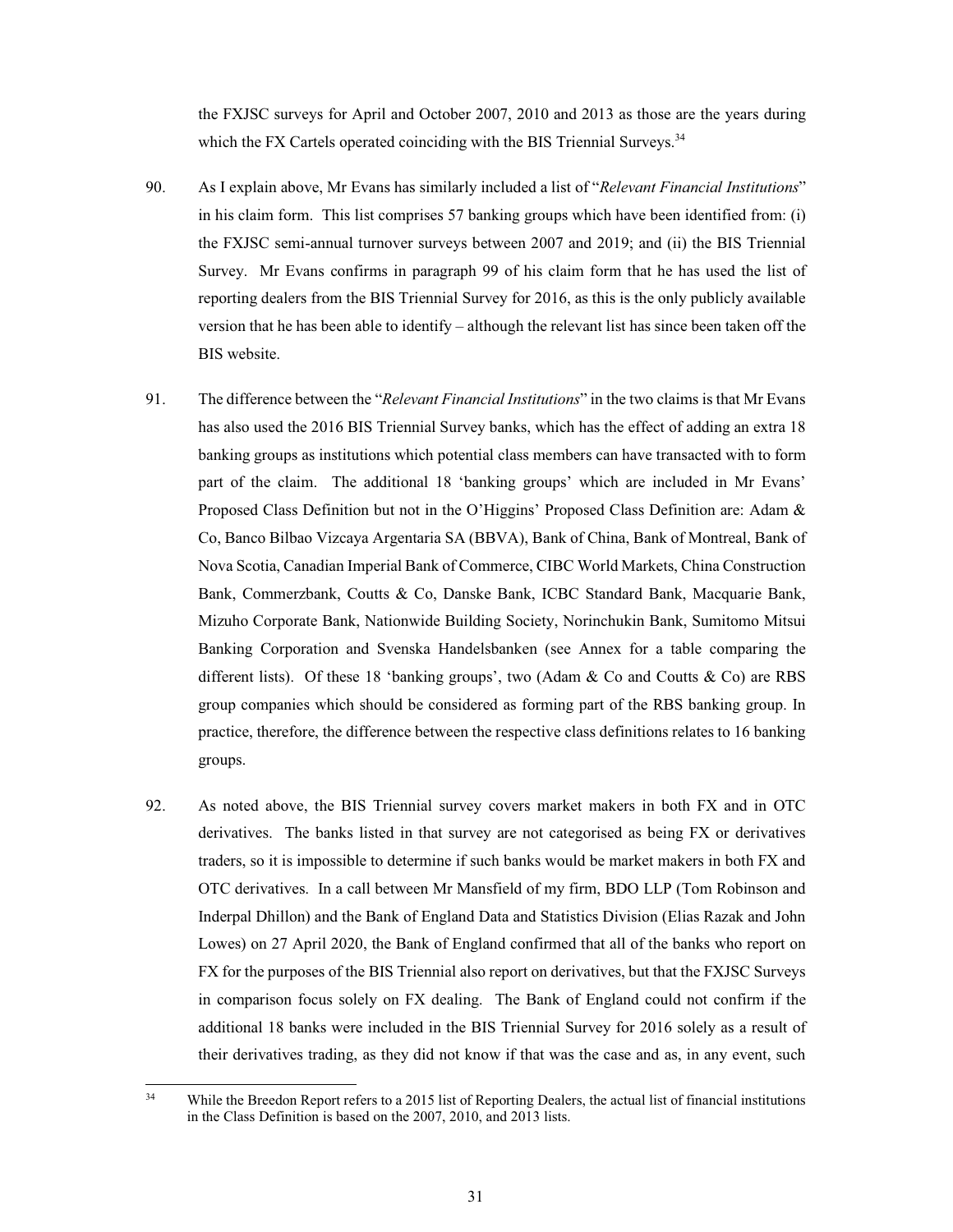the FXJSC surveys for April and October 2007, 2010 and 2013 as those are the years during which the FX Cartels operated coinciding with the BIS Triennial Surveys.<sup>34</sup>

- 90. As I explain above, Mr Evans has similarly included a list of "Relevant Financial Institutions" in his claim form. This list comprises 57 banking groups which have been identified from: (i) the FXJSC semi-annual turnover surveys between 2007 and 2019; and (ii) the BIS Triennial Survey. Mr Evans confirms in paragraph 99 of his claim form that he has used the list of reporting dealers from the BIS Triennial Survey for 2016, as this is the only publicly available version that he has been able to identify – although the relevant list has since been taken off the BIS website.
- 91. The difference between the "Relevant Financial Institutions" in the two claims is that Mr Evans has also used the 2016 BIS Triennial Survey banks, which has the effect of adding an extra 18 banking groups as institutions which potential class members can have transacted with to form part of the claim. The additional 18 'banking groups' which are included in Mr Evans' Proposed Class Definition but not in the O'Higgins' Proposed Class Definition are: Adam & Co, Banco Bilbao Vizcaya Argentaria SA (BBVA), Bank of China, Bank of Montreal, Bank of Nova Scotia, Canadian Imperial Bank of Commerce, CIBC World Markets, China Construction Bank, Commerzbank, Coutts & Co, Danske Bank, ICBC Standard Bank, Macquarie Bank, Mizuho Corporate Bank, Nationwide Building Society, Norinchukin Bank, Sumitomo Mitsui Banking Corporation and Svenska Handelsbanken (see Annex for a table comparing the different lists). Of these 18 'banking groups', two (Adam & Co and Coutts & Co) are RBS group companies which should be considered as forming part of the RBS banking group. In practice, therefore, the difference between the respective class definitions relates to 16 banking groups.
- 92. As noted above, the BIS Triennial survey covers market makers in both FX and in OTC derivatives. The banks listed in that survey are not categorised as being FX or derivatives traders, so it is impossible to determine if such banks would be market makers in both FX and OTC derivatives. In a call between Mr Mansfield of my firm, BDO LLP (Tom Robinson and Inderpal Dhillon) and the Bank of England Data and Statistics Division (Elias Razak and John Lowes) on 27 April 2020, the Bank of England confirmed that all of the banks who report on FX for the purposes of the BIS Triennial also report on derivatives, but that the FXJSC Surveys in comparison focus solely on FX dealing. The Bank of England could not confirm if the additional 18 banks were included in the BIS Triennial Survey for 2016 solely as a result of their derivatives trading, as they did not know if that was the case and as, in any event, such

 $34$ While the Breedon Report refers to a 2015 list of Reporting Dealers, the actual list of financial institutions in the Class Definition is based on the 2007, 2010, and 2013 lists.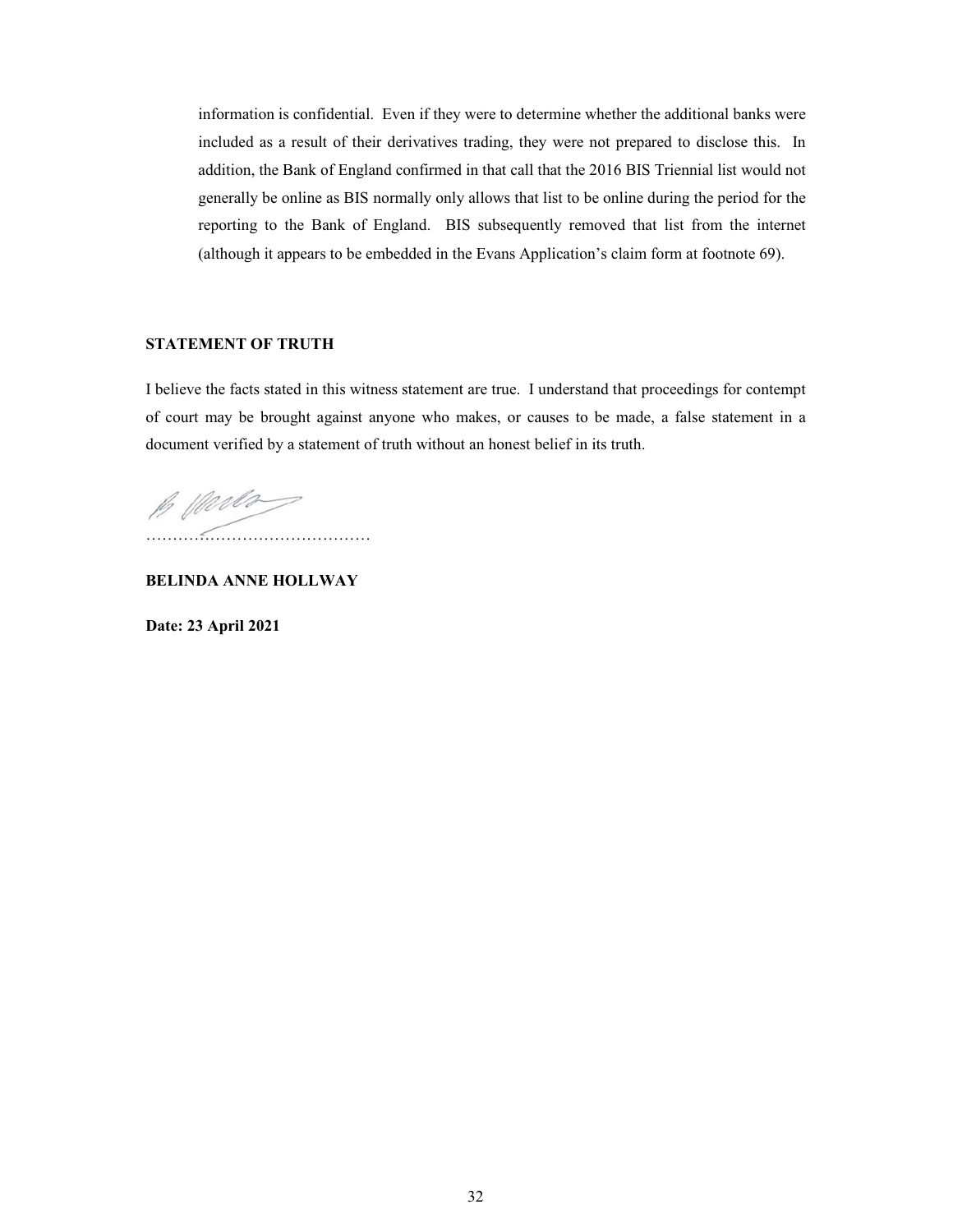information is confidential. Even if they were to determine whether the additional banks were included as a result of their derivatives trading, they were not prepared to disclose this. In addition, the Bank of England confirmed in that call that the 2016 BIS Triennial list would not generally be online as BIS normally only allows that list to be online during the period for the reporting to the Bank of England. BIS subsequently removed that list from the internet (although it appears to be embedded in the Evans Application's claim form at footnote 69).

## **STATEMENT OF TRUTH**

I believe the facts stated in this witness statement are true. I understand that proceedings for contempt of court may be brought against anyone who makes, or causes to be made, a false statement in a document verified by a statement of truth without an honest belief in its truth.

B Werds 

**BELINDA ANNE HOLLWAY** 

Date: 23 April 2021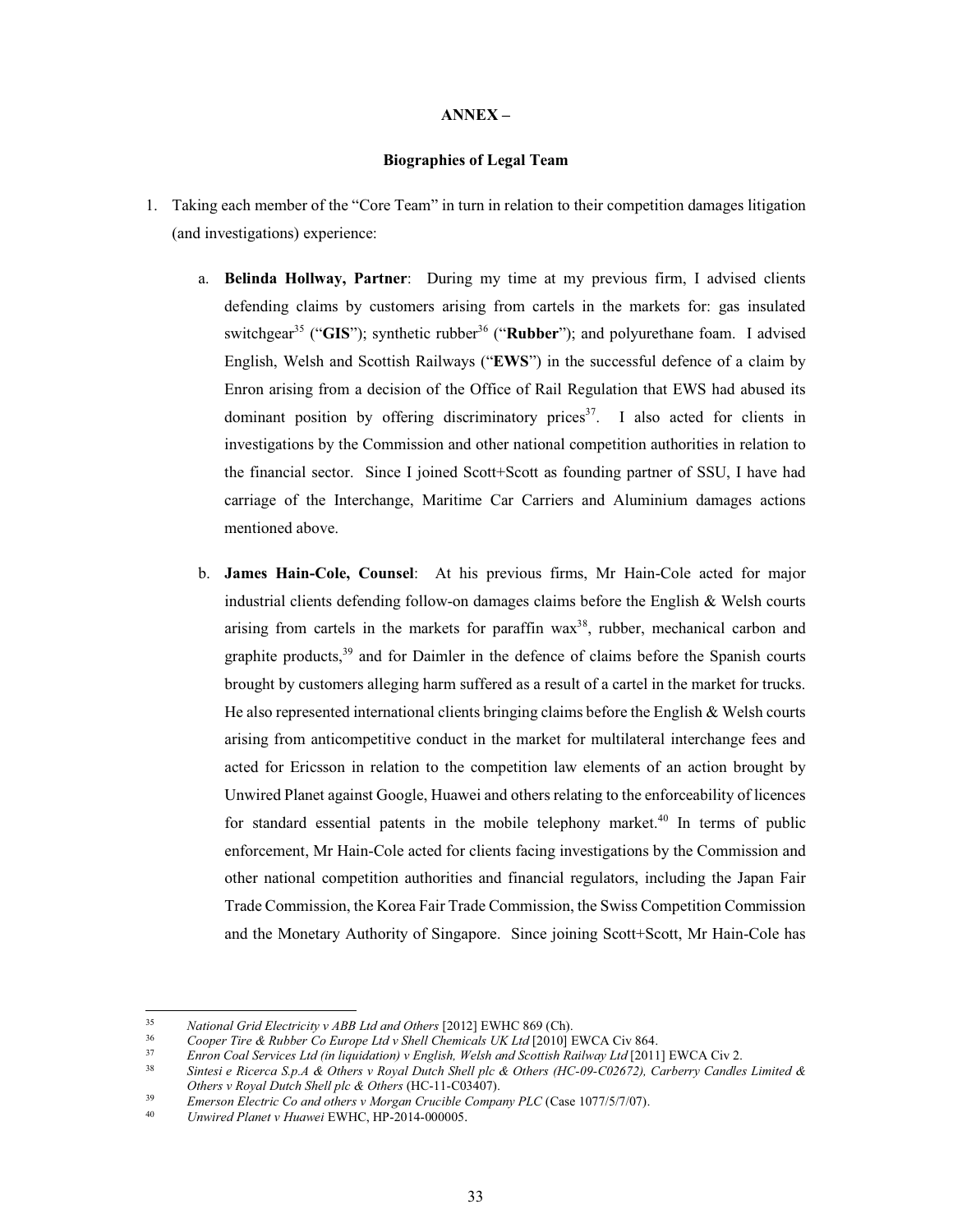### $ANNEX -$

# **Biographies of Legal Team**

- 1. Taking each member of the "Core Team" in turn in relation to their competition damages litigation (and investigations) experience:
	- a. Belinda Hollway, Partner: During my time at my previous firm, I advised clients defending claims by customers arising from cartels in the markets for: gas insulated switchgear<sup>35</sup> ("GIS"); synthetic rubber<sup>36</sup> ("Rubber"); and polyurethane foam. I advised English, Welsh and Scottish Railways ("EWS") in the successful defence of a claim by Enron arising from a decision of the Office of Rail Regulation that EWS had abused its dominant position by offering discriminatory prices<sup>37</sup>. I also acted for clients in investigations by the Commission and other national competition authorities in relation to the financial sector. Since I joined Scott+Scott as founding partner of SSU, I have had carriage of the Interchange, Maritime Car Carriers and Aluminium damages actions mentioned above.
	- b. James Hain-Cole, Counsel: At his previous firms, Mr Hain-Cole acted for major industrial clients defending follow-on damages claims before the English & Welsh courts arising from cartels in the markets for paraffin wax<sup>38</sup>, rubber, mechanical carbon and graphite products,<sup>39</sup> and for Daimler in the defence of claims before the Spanish courts brought by customers alleging harm suffered as a result of a cartel in the market for trucks. He also represented international clients bringing claims before the English  $\&$  Welsh courts arising from anticompetitive conduct in the market for multilateral interchange fees and acted for Ericsson in relation to the competition law elements of an action brought by Unwired Planet against Google, Huawei and others relating to the enforceability of licences for standard essential patents in the mobile telephony market.<sup>40</sup> In terms of public enforcement, Mr Hain-Cole acted for clients facing investigations by the Commission and other national competition authorities and financial regulators, including the Japan Fair Trade Commission, the Korea Fair Trade Commission, the Swiss Competition Commission and the Monetary Authority of Singapore. Since joining Scott+Scott, Mr Hain-Cole has

<sup>35</sup> National Grid Electricity v ABB Ltd and Others [2012] EWHC 869 (Ch).

<sup>36</sup> Cooper Tire & Rubber Co Europe Ltd v Shell Chemicals UK Ltd [2010] EWCA Civ 864.

 $37$ Enron Coal Services Ltd (in liquidation) v English, Welsh and Scottish Railway Ltd [2011] EWCA Civ 2.

<sup>38</sup> Sintesi e Ricerca S.p.A & Others v Royal Dutch Shell plc & Others (HC-09-C02672), Carberry Candles Limited & Others v Royal Dutch Shell plc & Others (HC-11-C03407).

<sup>39</sup> Emerson Electric Co and others v Morgan Crucible Company PLC (Case 1077/5/7/07).

<sup>40</sup> Unwired Planet v Huawei EWHC, HP-2014-000005.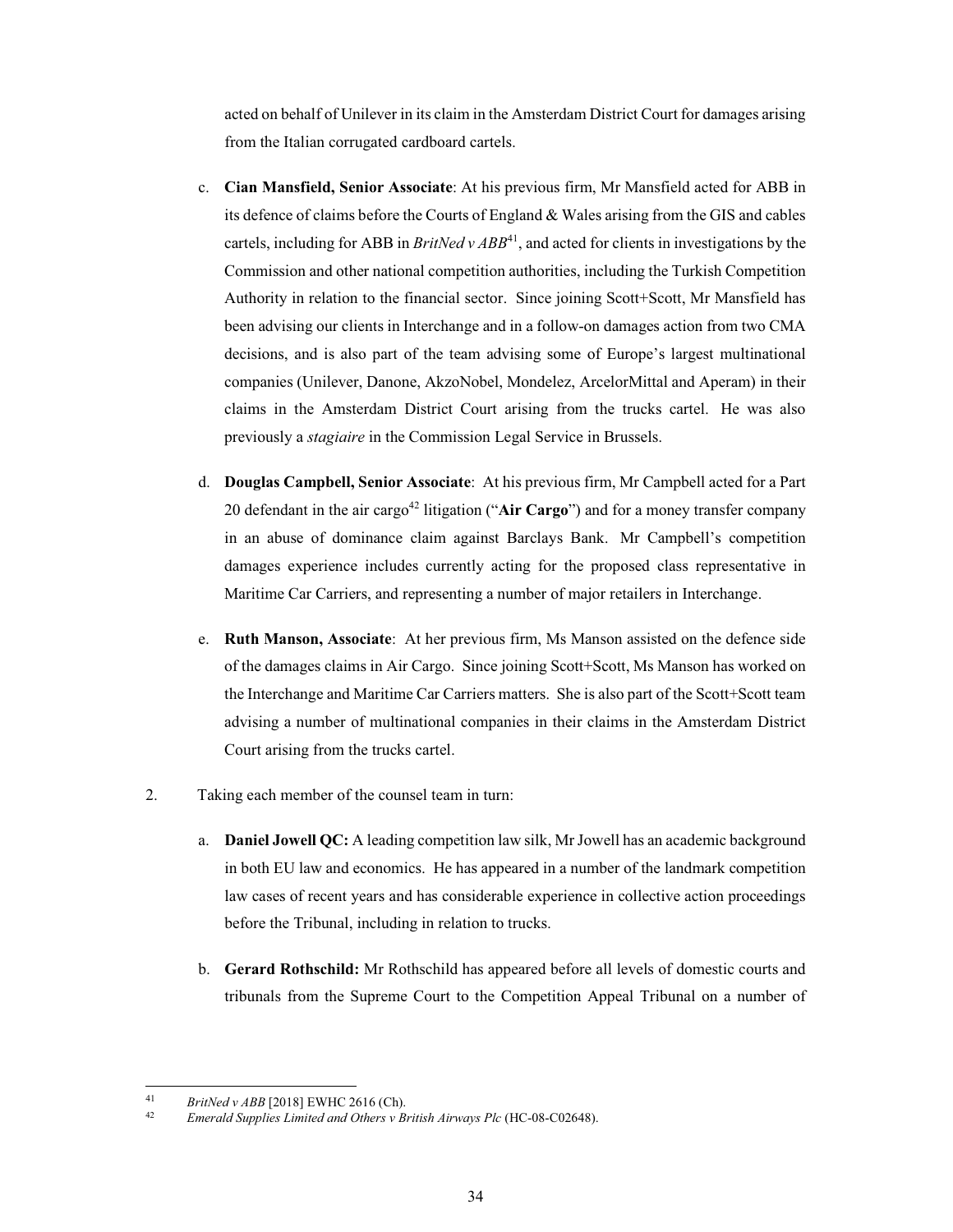acted on behalf of Unilever in its claim in the Amsterdam District Court for damages arising from the Italian corrugated cardboard cartels.

- c. Cian Mansfield, Senior Associate: At his previous firm, Mr Mansfield acted for ABB in its defence of claims before the Courts of England & Wales arising from the GIS and cables cartels, including for ABB in *BritNed v ABB*<sup>41</sup>, and acted for clients in investigations by the Commission and other national competition authorities, including the Turkish Competition Authority in relation to the financial sector. Since joining Scott+Scott, Mr Mansfield has been advising our clients in Interchange and in a follow-on damages action from two CMA decisions, and is also part of the team advising some of Europe's largest multinational companies (Unilever, Danone, AkzoNobel, Mondelez, ArcelorMittal and Aperam) in their claims in the Amsterdam District Court arising from the trucks cartel. He was also previously a *stagiaire* in the Commission Legal Service in Brussels.
- d. Douglas Campbell, Senior Associate: At his previous firm, Mr Campbell acted for a Part 20 defendant in the air cargo<sup>42</sup> litigation ("Air Cargo") and for a money transfer company in an abuse of dominance claim against Barclays Bank. Mr Campbell's competition damages experience includes currently acting for the proposed class representative in Maritime Car Carriers, and representing a number of major retailers in Interchange.
- e. Ruth Manson, Associate: At her previous firm, Ms Manson assisted on the defence side of the damages claims in Air Cargo. Since joining Scott+Scott, Ms Manson has worked on the Interchange and Maritime Car Carriers matters. She is also part of the Scott+Scott team advising a number of multinational companies in their claims in the Amsterdam District Court arising from the trucks cartel.
- $2.$ Taking each member of the counsel team in turn:
	- a. Daniel Jowell QC: A leading competition law silk, Mr Jowell has an academic background in both EU law and economics. He has appeared in a number of the landmark competition law cases of recent years and has considerable experience in collective action proceedings before the Tribunal, including in relation to trucks.
	- b. Gerard Rothschild: Mr Rothschild has appeared before all levels of domestic courts and tribunals from the Supreme Court to the Competition Appeal Tribunal on a number of

 $41$ BritNed v ABB [2018] EWHC 2616 (Ch).

 $42\,$ Emerald Supplies Limited and Others v British Airways Plc (HC-08-C02648).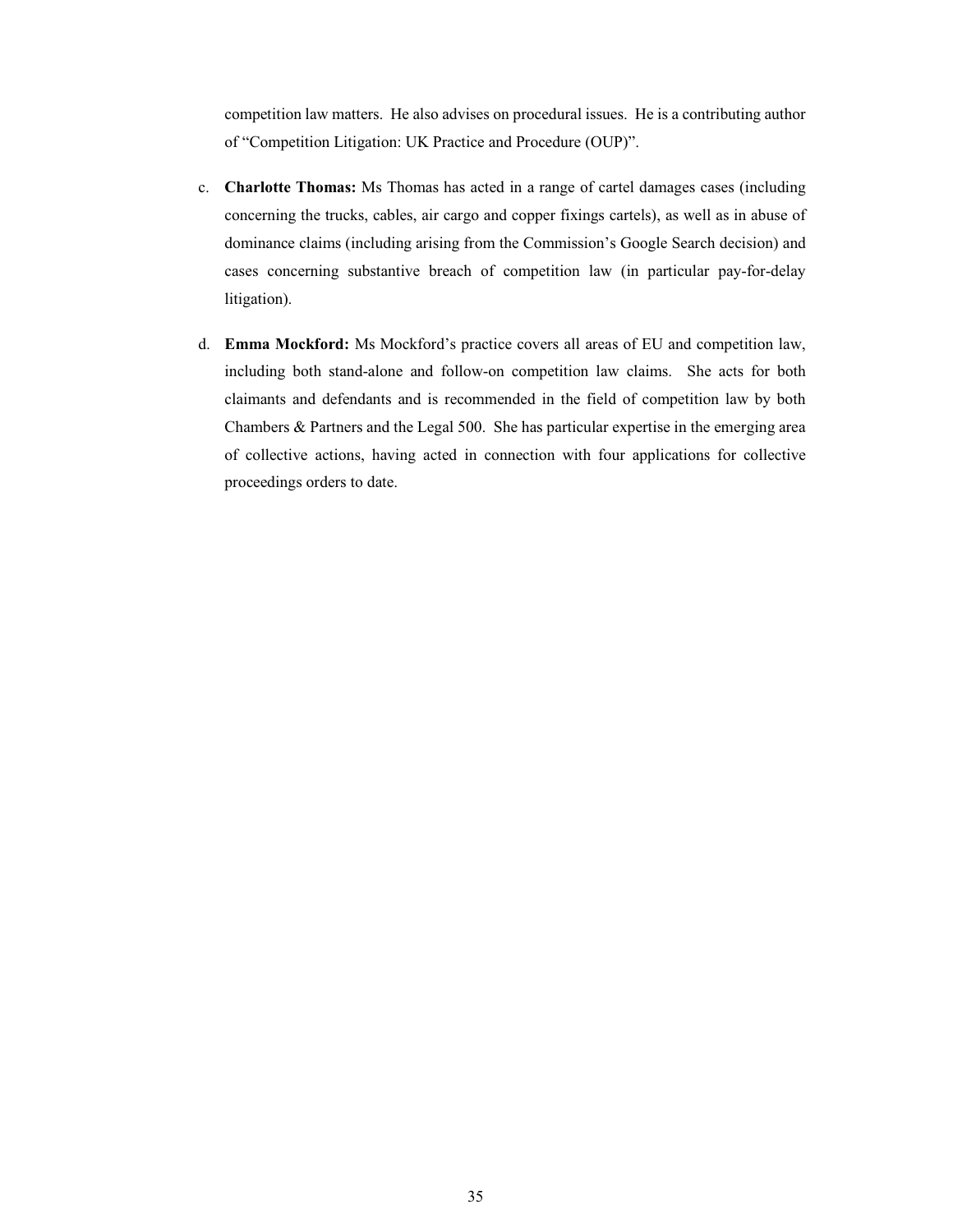competition law matters. He also advises on procedural issues. He is a contributing author of "Competition Litigation: UK Practice and Procedure (OUP)".

- c. Charlotte Thomas: Ms Thomas has acted in a range of cartel damages cases (including concerning the trucks, cables, air cargo and copper fixings cartels), as well as in abuse of dominance claims (including arising from the Commission's Google Search decision) and cases concerning substantive breach of competition law (in particular pay-for-delay litigation).
- d. Emma Mockford: Ms Mockford's practice covers all areas of EU and competition law, including both stand-alone and follow-on competition law claims. She acts for both claimants and defendants and is recommended in the field of competition law by both Chambers & Partners and the Legal 500. She has particular expertise in the emerging area of collective actions, having acted in connection with four applications for collective proceedings orders to date.